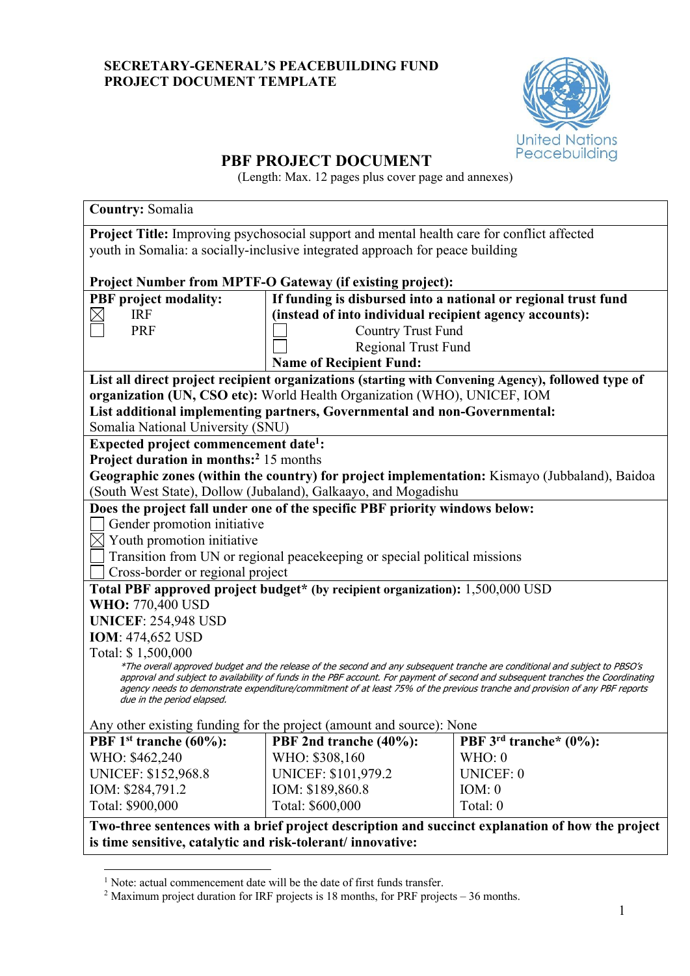## **SECRETARY-GENERAL'S PEACEBUILDING FUND PROJECT DOCUMENT TEMPLATE**



# **PBF PROJECT DOCUMENT**

(Length: Max. 12 pages plus cover page and annexes)

| <b>Country: Somalia</b>                                                                                                                                                                                                                                                                                                                                                                                                      |                                                                                            |                                                                                                    |  |  |
|------------------------------------------------------------------------------------------------------------------------------------------------------------------------------------------------------------------------------------------------------------------------------------------------------------------------------------------------------------------------------------------------------------------------------|--------------------------------------------------------------------------------------------|----------------------------------------------------------------------------------------------------|--|--|
|                                                                                                                                                                                                                                                                                                                                                                                                                              | Project Title: Improving psychosocial support and mental health care for conflict affected |                                                                                                    |  |  |
|                                                                                                                                                                                                                                                                                                                                                                                                                              | youth in Somalia: a socially-inclusive integrated approach for peace building              |                                                                                                    |  |  |
|                                                                                                                                                                                                                                                                                                                                                                                                                              |                                                                                            |                                                                                                    |  |  |
|                                                                                                                                                                                                                                                                                                                                                                                                                              | Project Number from MPTF-O Gateway (if existing project):                                  |                                                                                                    |  |  |
| <b>PBF</b> project modality:                                                                                                                                                                                                                                                                                                                                                                                                 | If funding is disbursed into a national or regional trust fund                             |                                                                                                    |  |  |
| <b>IRF</b>                                                                                                                                                                                                                                                                                                                                                                                                                   | (instead of into individual recipient agency accounts):                                    |                                                                                                    |  |  |
| <b>PRF</b>                                                                                                                                                                                                                                                                                                                                                                                                                   | <b>Country Trust Fund</b>                                                                  |                                                                                                    |  |  |
|                                                                                                                                                                                                                                                                                                                                                                                                                              | <b>Regional Trust Fund</b>                                                                 |                                                                                                    |  |  |
|                                                                                                                                                                                                                                                                                                                                                                                                                              | <b>Name of Recipient Fund:</b>                                                             |                                                                                                    |  |  |
|                                                                                                                                                                                                                                                                                                                                                                                                                              |                                                                                            | List all direct project recipient organizations (starting with Convening Agency), followed type of |  |  |
|                                                                                                                                                                                                                                                                                                                                                                                                                              | organization (UN, CSO etc): World Health Organization (WHO), UNICEF, IOM                   |                                                                                                    |  |  |
|                                                                                                                                                                                                                                                                                                                                                                                                                              | List additional implementing partners, Governmental and non-Governmental:                  |                                                                                                    |  |  |
| Somalia National University (SNU)                                                                                                                                                                                                                                                                                                                                                                                            |                                                                                            |                                                                                                    |  |  |
| Expected project commencement date <sup>1</sup> :                                                                                                                                                                                                                                                                                                                                                                            |                                                                                            |                                                                                                    |  |  |
| Project duration in months: <sup>2</sup> 15 months                                                                                                                                                                                                                                                                                                                                                                           |                                                                                            |                                                                                                    |  |  |
|                                                                                                                                                                                                                                                                                                                                                                                                                              |                                                                                            | Geographic zones (within the country) for project implementation: Kismayo (Jubbaland), Baidoa      |  |  |
|                                                                                                                                                                                                                                                                                                                                                                                                                              | (South West State), Dollow (Jubaland), Galkaayo, and Mogadishu                             |                                                                                                    |  |  |
|                                                                                                                                                                                                                                                                                                                                                                                                                              | Does the project fall under one of the specific PBF priority windows below:                |                                                                                                    |  |  |
| Gender promotion initiative                                                                                                                                                                                                                                                                                                                                                                                                  |                                                                                            |                                                                                                    |  |  |
| $\boxtimes$ Youth promotion initiative                                                                                                                                                                                                                                                                                                                                                                                       |                                                                                            |                                                                                                    |  |  |
| Transition from UN or regional peacekeeping or special political missions                                                                                                                                                                                                                                                                                                                                                    |                                                                                            |                                                                                                    |  |  |
| Cross-border or regional project                                                                                                                                                                                                                                                                                                                                                                                             |                                                                                            |                                                                                                    |  |  |
| Total PBF approved project budget* (by recipient organization): 1,500,000 USD                                                                                                                                                                                                                                                                                                                                                |                                                                                            |                                                                                                    |  |  |
|                                                                                                                                                                                                                                                                                                                                                                                                                              | <b>WHO: 770,400 USD</b>                                                                    |                                                                                                    |  |  |
| <b>UNICEF: 254,948 USD</b>                                                                                                                                                                                                                                                                                                                                                                                                   |                                                                                            |                                                                                                    |  |  |
| <b>IOM: 474,652 USD</b>                                                                                                                                                                                                                                                                                                                                                                                                      |                                                                                            |                                                                                                    |  |  |
| Total: \$1,500,000                                                                                                                                                                                                                                                                                                                                                                                                           |                                                                                            |                                                                                                    |  |  |
| *The overall approved budget and the release of the second and any subsequent tranche are conditional and subject to PBSO's<br>approval and subject to availability of funds in the PBF account. For payment of second and subsequent tranches the Coordinating<br>agency needs to demonstrate expenditure/commitment of at least 75% of the previous tranche and provision of any PBF reports<br>due in the period elapsed. |                                                                                            |                                                                                                    |  |  |
| Any other existing funding for the project (amount and source): None                                                                                                                                                                                                                                                                                                                                                         |                                                                                            |                                                                                                    |  |  |
| PBF $1st$ tranche (60%):                                                                                                                                                                                                                                                                                                                                                                                                     | PBF 2nd tranche (40%):                                                                     | PBF 3 <sup>rd</sup> tranche* (0%):                                                                 |  |  |
| WHO: \$462,240                                                                                                                                                                                                                                                                                                                                                                                                               | WHO: \$308,160                                                                             | WHO: 0                                                                                             |  |  |
| <b>UNICEF: \$152,968.8</b>                                                                                                                                                                                                                                                                                                                                                                                                   | UNICEF: \$101,979.2                                                                        | UNICEF: 0                                                                                          |  |  |
| IOM: \$284,791.2                                                                                                                                                                                                                                                                                                                                                                                                             | IOM: \$189,860.8                                                                           | IOM: 0                                                                                             |  |  |
| Total: \$900,000                                                                                                                                                                                                                                                                                                                                                                                                             | Total: \$600,000                                                                           | Total: 0                                                                                           |  |  |
| Two-three sentences with a brief project description and succinct explanation of how the project                                                                                                                                                                                                                                                                                                                             |                                                                                            |                                                                                                    |  |  |
| is time sensitive, catalytic and risk-tolerant/innovative:                                                                                                                                                                                                                                                                                                                                                                   |                                                                                            |                                                                                                    |  |  |

<sup>&</sup>lt;sup>1</sup> Note: actual commencement date will be the date of first funds transfer.

<sup>2</sup> Maximum project duration for IRF projects is 18 months, for PRF projects – 36 months.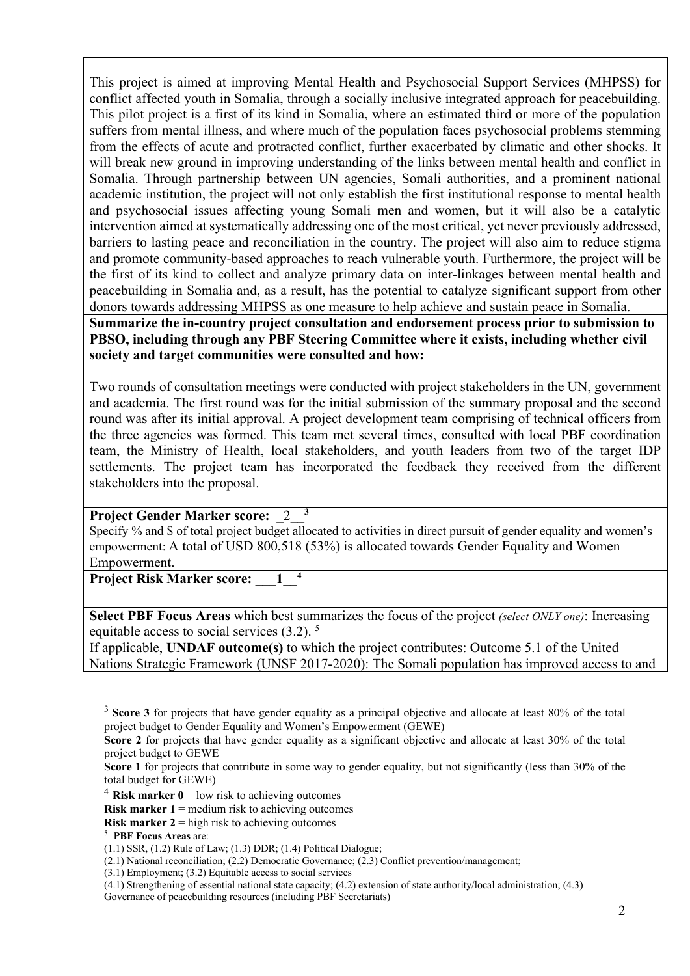This project is aimed at improving Mental Health and Psychosocial Support Services (MHPSS) for conflict affected youth in Somalia, through a socially inclusive integrated approach for peacebuilding. This pilot project is a first of its kind in Somalia, where an estimated third or more of the population suffers from mental illness, and where much of the population faces psychosocial problems stemming from the effects of acute and protracted conflict, further exacerbated by climatic and other shocks. It will break new ground in improving understanding of the links between mental health and conflict in Somalia. Through partnership between UN agencies, Somali authorities, and a prominent national academic institution, the project will not only establish the first institutional response to mental health and psychosocial issues affecting young Somali men and women, but it will also be a catalytic intervention aimed at systematically addressing one of the most critical, yet never previously addressed, barriers to lasting peace and reconciliation in the country. The project will also aim to reduce stigma and promote community-based approaches to reach vulnerable youth. Furthermore, the project will be the first of its kind to collect and analyze primary data on inter-linkages between mental health and peacebuilding in Somalia and, as a result, has the potential to catalyze significant support from other donors towards addressing MHPSS as one measure to help achieve and sustain peace in Somalia. **Summarize the in-country project consultation and endorsement process prior to submission to PBSO, including through any PBF Steering Committee where it exists, including whether civil society and target communities were consulted and how:**

Two rounds of consultation meetings were conducted with project stakeholders in the UN, government and academia. The first round was for the initial submission of the summary proposal and the second round was after its initial approval. A project development team comprising of technical officers from the three agencies was formed. This team met several times, consulted with local PBF coordination team, the Ministry of Health, local stakeholders, and youth leaders from two of the target IDP settlements. The project team has incorporated the feedback they received from the different stakeholders into the proposal.

#### **Project Gender Marker score:** \_2**\_\_3**

Specify % and \$ of total project budget allocated to activities in direct pursuit of gender equality and women's empowerment: A total of USD 800,518 (53%) is allocated towards Gender Equality and Women Empowerment.

**Project Risk Marker score: \_\_1\_4** 

**Select PBF Focus Areas** which best summarizes the focus of the project *(select ONLY one)*: Increasing equitable access to social services (3.2). <sup>5</sup>

If applicable, **UNDAF outcome(s)** to which the project contributes: Outcome 5.1 of the United Nations Strategic Framework (UNSF 2017-2020): The Somali population has improved access to and

<sup>&</sup>lt;sup>3</sup> **Score 3** for projects that have gender equality as a principal objective and allocate at least 80% of the total project budget to Gender Equality and Women's Empowerment (GEWE)

**Score 2** for projects that have gender equality as a significant objective and allocate at least 30% of the total project budget to GEWE

**Score 1** for projects that contribute in some way to gender equality, but not significantly (less than 30% of the total budget for GEWE)

 $4$  **Risk marker 0** = low risk to achieving outcomes

**Risk marker 1** = medium risk to achieving outcomes

**Risk marker 2** = high risk to achieving outcomes

<sup>5</sup> **PBF Focus Areas** are:

<sup>(1.1)</sup> SSR, (1.2) Rule of Law; (1.3) DDR; (1.4) Political Dialogue;

<sup>(2.1)</sup> National reconciliation; (2.2) Democratic Governance; (2.3) Conflict prevention/management;

<sup>(3.1)</sup> Employment; (3.2) Equitable access to social services

<sup>(4.1)</sup> Strengthening of essential national state capacity; (4.2) extension of state authority/local administration; (4.3)

Governance of peacebuilding resources (including PBF Secretariats)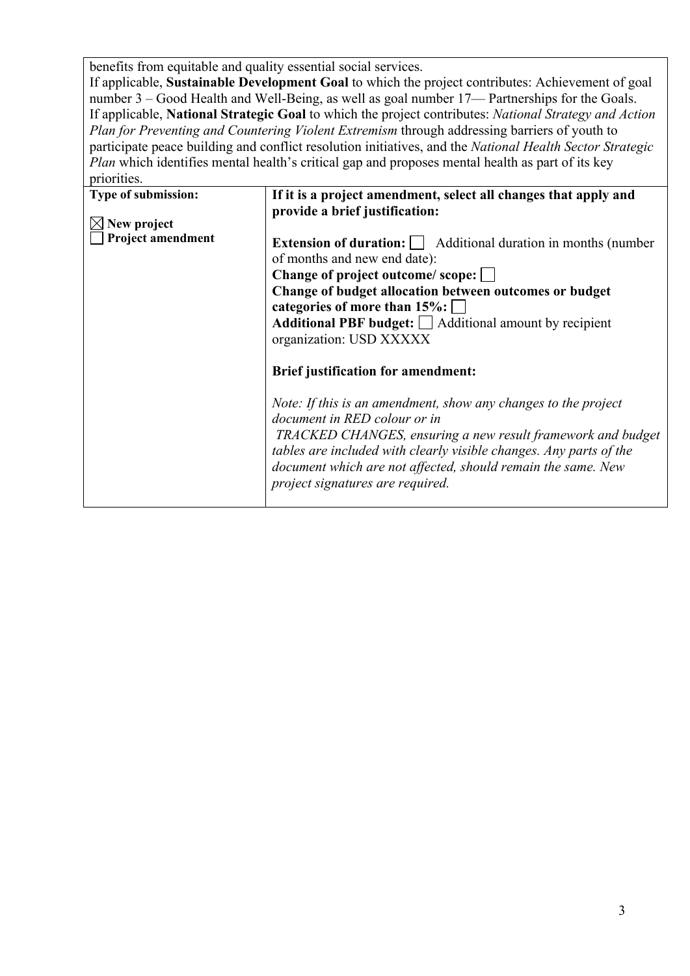benefits from equitable and quality essential social services.

If applicable, **Sustainable Development Goal** to which the project contributes: Achievement of goal number 3 – Good Health and Well-Being, as well as goal number 17— Partnerships for the Goals. If applicable, **National Strategic Goal** to which the project contributes: *National Strategy and Action Plan for Preventing and Countering Violent Extremism* through addressing barriers of youth to participate peace building and conflict resolution initiatives, and the *National Health Sector Strategic Plan* which identifies mental health's critical gap and proposes mental health as part of its key priorities.

| Type of submission:<br>New project<br><b>Project amendment</b> | If it is a project amendment, select all changes that apply and<br>provide a brief justification:<br><b>Extension of duration:</b> $\Box$ Additional duration in months (number<br>of months and new end date):<br>Change of project outcome/scope:<br>Change of budget allocation between outcomes or budget<br>categories of more than $15\%$ :<br>Additional PBF budget: $\Box$ Additional amount by recipient<br>organization: USD XXXXX<br><b>Brief justification for amendment:</b><br>Note: If this is an amendment, show any changes to the project<br>document in RED colour or in<br>TRACKED CHANGES, ensuring a new result framework and budget<br>tables are included with clearly visible changes. Any parts of the<br>document which are not affected, should remain the same. New<br>project signatures are required. |
|----------------------------------------------------------------|--------------------------------------------------------------------------------------------------------------------------------------------------------------------------------------------------------------------------------------------------------------------------------------------------------------------------------------------------------------------------------------------------------------------------------------------------------------------------------------------------------------------------------------------------------------------------------------------------------------------------------------------------------------------------------------------------------------------------------------------------------------------------------------------------------------------------------------|
|                                                                |                                                                                                                                                                                                                                                                                                                                                                                                                                                                                                                                                                                                                                                                                                                                                                                                                                      |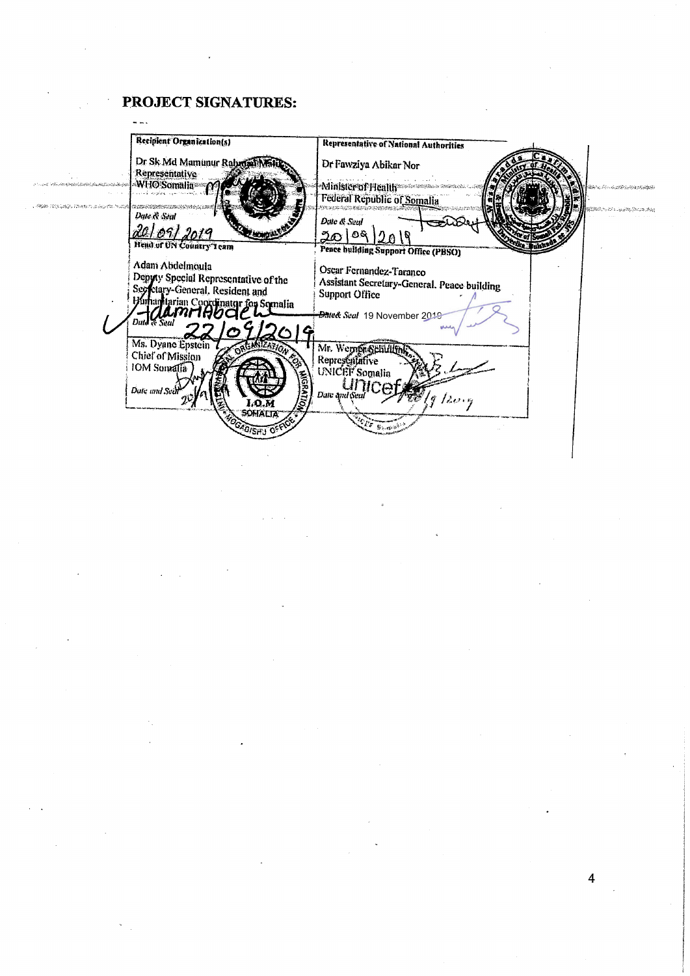# PROJECT SIGNATURES:

 $\frac{1}{2}$  ,  $\frac{1}{2}$  ,  $\frac{1}{2}$  ,

 $\overline{a}$ 

|                                                                                                                                                                                                                                      | Recipient Organization(s)            | <b>Representative of National Authorities</b>                                |
|--------------------------------------------------------------------------------------------------------------------------------------------------------------------------------------------------------------------------------------|--------------------------------------|------------------------------------------------------------------------------|
|                                                                                                                                                                                                                                      |                                      |                                                                              |
|                                                                                                                                                                                                                                      | Dr Sk Md Mamunur Rahman              | Dr Fawziya Abikar Nor                                                        |
|                                                                                                                                                                                                                                      | Representative                       |                                                                              |
| <b>Service of the Service of the Control of the Control of the Control of the Control of the Control of the Control of the Control of the Control of the Control of the Control of the Control of the Control of the Control of </b> | WHO Somalia                          | Minister of Health Management and the<br>EACH Control of Control and Control |
|                                                                                                                                                                                                                                      |                                      | Federal Republic of Somalia                                                  |
| මවුණ බවය බවයි. විශේෂ කාලනික කොරන්                                                                                                                                                                                                    |                                      |                                                                              |
|                                                                                                                                                                                                                                      | Date & Seat                          | Date & Seal                                                                  |
|                                                                                                                                                                                                                                      |                                      |                                                                              |
|                                                                                                                                                                                                                                      | 1091                                 | నిల్   రిక్                                                                  |
|                                                                                                                                                                                                                                      | Head of UN Country Team              | Peace bullding Support Office (PBSO)                                         |
|                                                                                                                                                                                                                                      |                                      |                                                                              |
|                                                                                                                                                                                                                                      | Adam Abdelmoula                      | Oscar Fernandez-Taranco                                                      |
|                                                                                                                                                                                                                                      | Depyty Special Representative of the | Assistant Secretary-General, Peace building                                  |
|                                                                                                                                                                                                                                      | Secretary-General, Resident and      | Support Office                                                               |
|                                                                                                                                                                                                                                      | Junan tarian Coordinatur for Somalia |                                                                              |
|                                                                                                                                                                                                                                      | amrıAV                               | <b>Bale&amp; Seal</b> 19 November 2019                                       |
|                                                                                                                                                                                                                                      | Duid Te Seal                         |                                                                              |
|                                                                                                                                                                                                                                      |                                      |                                                                              |
|                                                                                                                                                                                                                                      | Ms. Dyane Epstein                    | Mr. Wernpreselaultin                                                         |
|                                                                                                                                                                                                                                      | Chief of Mission                     |                                                                              |
|                                                                                                                                                                                                                                      | IOM Somalia                          | Representative                                                               |
|                                                                                                                                                                                                                                      |                                      | UNICEF Somalia                                                               |
|                                                                                                                                                                                                                                      | Date and Seal                        |                                                                              |
|                                                                                                                                                                                                                                      |                                      | Date and Seal<br>$\frac{g}{2}$ /2004                                         |
|                                                                                                                                                                                                                                      | <b>MOILVSON</b><br>I.Q.M             |                                                                              |
|                                                                                                                                                                                                                                      | <b>SOFIALIA</b>                      |                                                                              |
|                                                                                                                                                                                                                                      | <b>HOISHU OFF</b>                    | 5, 60                                                                        |
|                                                                                                                                                                                                                                      |                                      |                                                                              |
|                                                                                                                                                                                                                                      |                                      |                                                                              |
|                                                                                                                                                                                                                                      |                                      |                                                                              |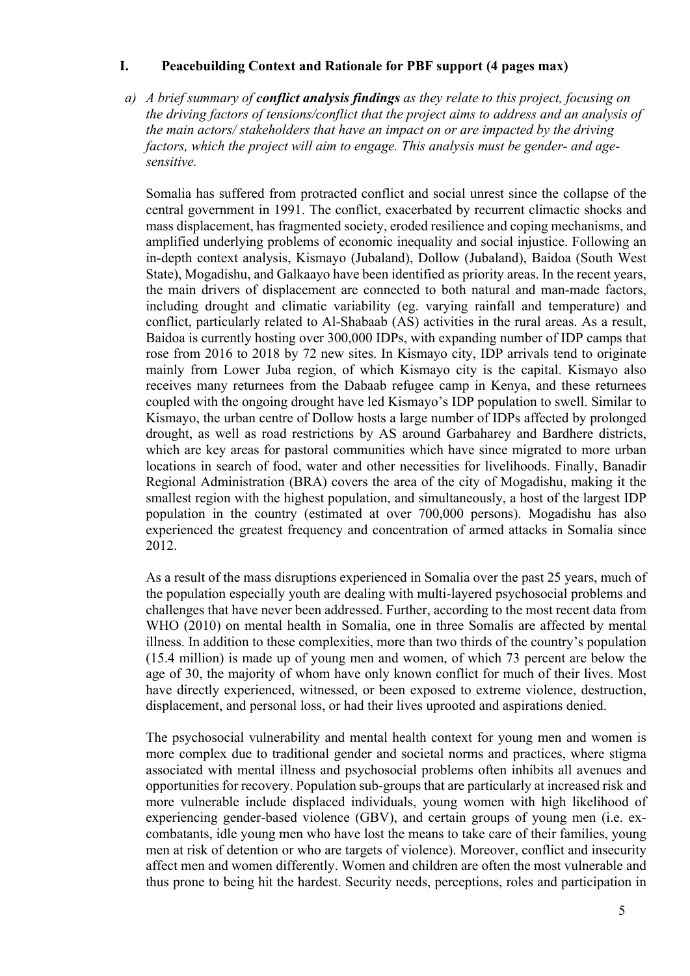#### **I. Peacebuilding Context and Rationale for PBF support (4 pages max)**

*a) A brief summary of conflict analysis findings as they relate to this project, focusing on the driving factors of tensions/conflict that the project aims to address and an analysis of the main actors/ stakeholders that have an impact on or are impacted by the driving factors, which the project will aim to engage. This analysis must be gender- and agesensitive.*

Somalia has suffered from protracted conflict and social unrest since the collapse of the central government in 1991. The conflict, exacerbated by recurrent climactic shocks and mass displacement, has fragmented society, eroded resilience and coping mechanisms, and amplified underlying problems of economic inequality and social injustice. Following an in-depth context analysis, Kismayo (Jubaland), Dollow (Jubaland), Baidoa (South West State), Mogadishu, and Galkaayo have been identified as priority areas. In the recent years, the main drivers of displacement are connected to both natural and man-made factors, including drought and climatic variability (eg. varying rainfall and temperature) and conflict, particularly related to Al-Shabaab (AS) activities in the rural areas. As a result, Baidoa is currently hosting over 300,000 IDPs, with expanding number of IDP camps that rose from 2016 to 2018 by 72 new sites. In Kismayo city, IDP arrivals tend to originate mainly from Lower Juba region, of which Kismayo city is the capital. Kismayo also receives many returnees from the Dabaab refugee camp in Kenya, and these returnees coupled with the ongoing drought have led Kismayo's IDP population to swell. Similar to Kismayo, the urban centre of Dollow hosts a large number of IDPs affected by prolonged drought, as well as road restrictions by AS around Garbaharey and Bardhere districts, which are key areas for pastoral communities which have since migrated to more urban locations in search of food, water and other necessities for livelihoods. Finally, Banadir Regional Administration (BRA) covers the area of the city of Mogadishu, making it the smallest region with the highest population, and simultaneously, a host of the largest IDP population in the country (estimated at over 700,000 persons). Mogadishu has also experienced the greatest frequency and concentration of armed attacks in Somalia since 2012.

As a result of the mass disruptions experienced in Somalia over the past 25 years, much of the population especially youth are dealing with multi-layered psychosocial problems and challenges that have never been addressed. Further, according to the most recent data from WHO (2010) on mental health in Somalia, one in three Somalis are affected by mental illness. In addition to these complexities, more than two thirds of the country's population (15.4 million) is made up of young men and women, of which 73 percent are below the age of 30, the majority of whom have only known conflict for much of their lives. Most have directly experienced, witnessed, or been exposed to extreme violence, destruction, displacement, and personal loss, or had their lives uprooted and aspirations denied.

The psychosocial vulnerability and mental health context for young men and women is more complex due to traditional gender and societal norms and practices, where stigma associated with mental illness and psychosocial problems often inhibits all avenues and opportunities for recovery. Population sub-groups that are particularly at increased risk and more vulnerable include displaced individuals, young women with high likelihood of experiencing gender-based violence (GBV), and certain groups of young men (i.e. excombatants, idle young men who have lost the means to take care of their families, young men at risk of detention or who are targets of violence). Moreover, conflict and insecurity affect men and women differently. Women and children are often the most vulnerable and thus prone to being hit the hardest. Security needs, perceptions, roles and participation in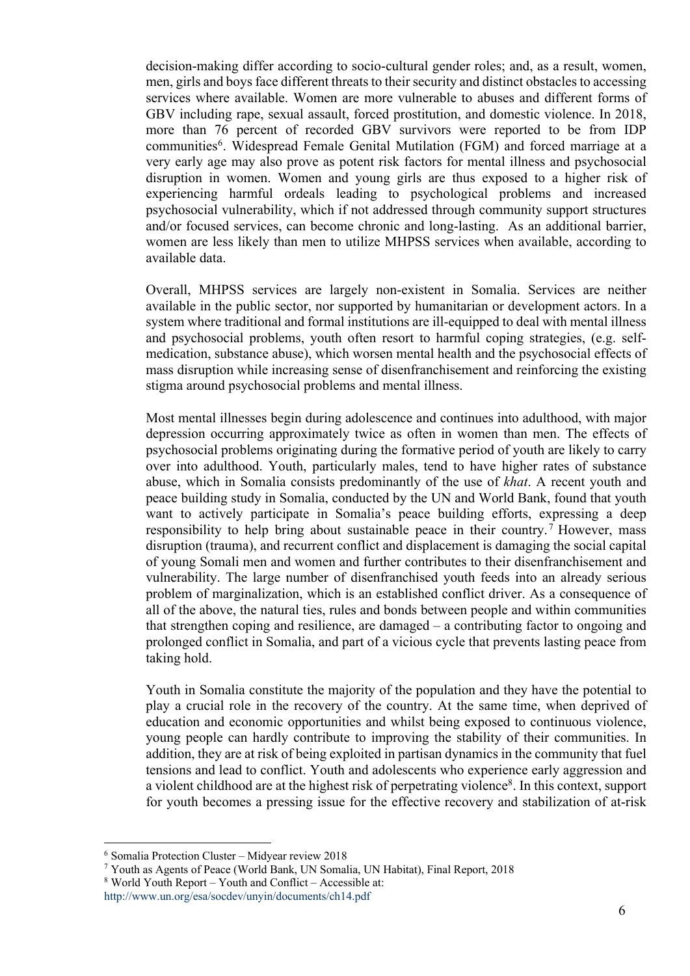decision-making differ according to socio-cultural gender roles; and, as a result, women, men, girls and boys face different threats to their security and distinct obstacles to accessing services where available. Women are more vulnerable to abuses and different forms of GBV including rape, sexual assault, forced prostitution, and domestic violence. In 2018, more than 76 percent of recorded GBV survivors were reported to be from IDP communities<sup>6</sup>. Widespread Female Genital Mutilation (FGM) and forced marriage at a very early age may also prove as potent risk factors for mental illness and psychosocial disruption in women. Women and young girls are thus exposed to a higher risk of experiencing harmful ordeals leading to psychological problems and increased psychosocial vulnerability, which if not addressed through community support structures and/or focused services, can become chronic and long-lasting. As an additional barrier, women are less likely than men to utilize MHPSS services when available, according to available data.

Overall, MHPSS services are largely non-existent in Somalia. Services are neither available in the public sector, nor supported by humanitarian or development actors. In a system where traditional and formal institutions are ill-equipped to deal with mental illness and psychosocial problems, youth often resort to harmful coping strategies, (e.g. selfmedication, substance abuse), which worsen mental health and the psychosocial effects of mass disruption while increasing sense of disenfranchisement and reinforcing the existing stigma around psychosocial problems and mental illness.

Most mental illnesses begin during adolescence and continues into adulthood, with major depression occurring approximately twice as often in women than men. The effects of psychosocial problems originating during the formative period of youth are likely to carry over into adulthood. Youth, particularly males, tend to have higher rates of substance abuse, which in Somalia consists predominantly of the use of *khat*. A recent youth and peace building study in Somalia, conducted by the UN and World Bank, found that youth want to actively participate in Somalia's peace building efforts, expressing a deep responsibility to help bring about sustainable peace in their country.<sup>7</sup> However, mass disruption (trauma), and recurrent conflict and displacement is damaging the social capital of young Somali men and women and further contributes to their disenfranchisement and vulnerability. The large number of disenfranchised youth feeds into an already serious problem of marginalization, which is an established conflict driver. As a consequence of all of the above, the natural ties, rules and bonds between people and within communities that strengthen coping and resilience, are damaged – a contributing factor to ongoing and prolonged conflict in Somalia, and part of a vicious cycle that prevents lasting peace from taking hold.

Youth in Somalia constitute the majority of the population and they have the potential to play a crucial role in the recovery of the country. At the same time, when deprived of education and economic opportunities and whilst being exposed to continuous violence, young people can hardly contribute to improving the stability of their communities. In addition, they are at risk of being exploited in partisan dynamics in the community that fuel tensions and lead to conflict. Youth and adolescents who experience early aggression and a violent childhood are at the highest risk of perpetrating violence<sup>8</sup>. In this context, support for youth becomes a pressing issue for the effective recovery and stabilization of at-risk

<sup>6</sup> Somalia Protection Cluster – Midyear review 2018

<sup>7</sup> Youth as Agents of Peace (World Bank, UN Somalia, UN Habitat), Final Report, 2018

<sup>8</sup> World Youth Report – Youth and Conflict – Accessible at:

http://www.un.org/esa/socdev/unyin/documents/ch14.pdf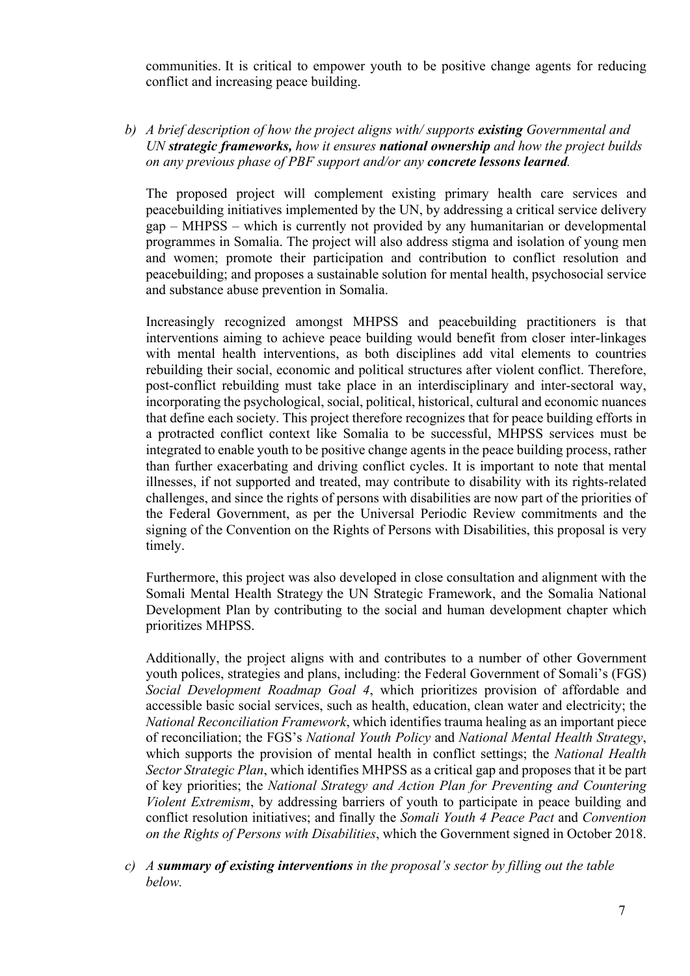communities. It is critical to empower youth to be positive change agents for reducing conflict and increasing peace building.

*b) A brief description of how the project aligns with/ supports existing Governmental and UN strategic frameworks, how it ensures national ownership and how the project builds on any previous phase of PBF support and/or any concrete lessons learned.* 

The proposed project will complement existing primary health care services and peacebuilding initiatives implemented by the UN, by addressing a critical service delivery gap – MHPSS – which is currently not provided by any humanitarian or developmental programmes in Somalia. The project will also address stigma and isolation of young men and women; promote their participation and contribution to conflict resolution and peacebuilding; and proposes a sustainable solution for mental health, psychosocial service and substance abuse prevention in Somalia.

Increasingly recognized amongst MHPSS and peacebuilding practitioners is that interventions aiming to achieve peace building would benefit from closer inter-linkages with mental health interventions, as both disciplines add vital elements to countries rebuilding their social, economic and political structures after violent conflict. Therefore, post-conflict rebuilding must take place in an interdisciplinary and inter-sectoral way, incorporating the psychological, social, political, historical, cultural and economic nuances that define each society. This project therefore recognizes that for peace building efforts in a protracted conflict context like Somalia to be successful, MHPSS services must be integrated to enable youth to be positive change agents in the peace building process, rather than further exacerbating and driving conflict cycles. It is important to note that mental illnesses, if not supported and treated, may contribute to disability with its rights-related challenges, and since the rights of persons with disabilities are now part of the priorities of the Federal Government, as per the Universal Periodic Review commitments and the signing of the Convention on the Rights of Persons with Disabilities, this proposal is very timely.

Furthermore, this project was also developed in close consultation and alignment with the Somali Mental Health Strategy the UN Strategic Framework, and the Somalia National Development Plan by contributing to the social and human development chapter which prioritizes MHPSS.

Additionally, the project aligns with and contributes to a number of other Government youth polices, strategies and plans, including: the Federal Government of Somali's (FGS) *Social Development Roadmap Goal 4*, which prioritizes provision of affordable and accessible basic social services, such as health, education, clean water and electricity; the *National Reconciliation Framework*, which identifies trauma healing as an important piece of reconciliation; the FGS's *National Youth Policy* and *National Mental Health Strategy*, which supports the provision of mental health in conflict settings; the *National Health Sector Strategic Plan*, which identifies MHPSS as a critical gap and proposes that it be part of key priorities; the *National Strategy and Action Plan for Preventing and Countering Violent Extremism*, by addressing barriers of youth to participate in peace building and conflict resolution initiatives; and finally the *Somali Youth 4 Peace Pact* and *Convention on the Rights of Persons with Disabilities*, which the Government signed in October 2018.

*c) A summary of existing interventions in the proposal's sector by filling out the table below.*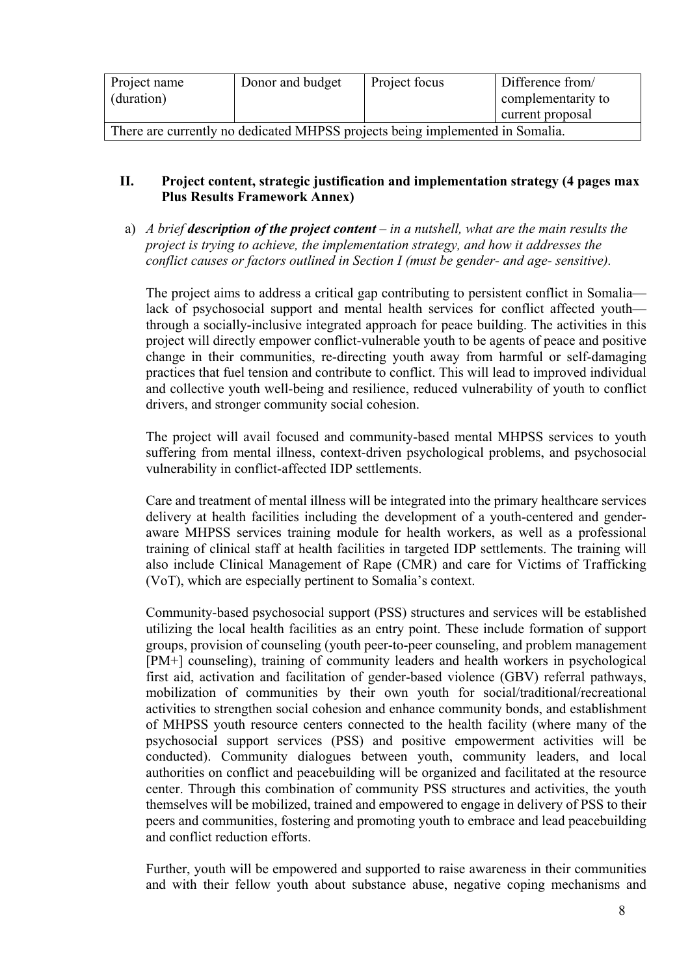| Project name                                                                  | Donor and budget | Project focus | Difference from/   |
|-------------------------------------------------------------------------------|------------------|---------------|--------------------|
| (duration)                                                                    |                  |               | complementarity to |
|                                                                               |                  |               | current proposal   |
| There are currently no dedicated MHPSS projects being implemented in Somalia. |                  |               |                    |

## **II. Project content, strategic justification and implementation strategy (4 pages max Plus Results Framework Annex)**

a) *A brief description of the project content – in a nutshell, what are the main results the project is trying to achieve, the implementation strategy, and how it addresses the conflict causes or factors outlined in Section I (must be gender- and age- sensitive).*

The project aims to address a critical gap contributing to persistent conflict in Somalia lack of psychosocial support and mental health services for conflict affected youth through a socially-inclusive integrated approach for peace building. The activities in this project will directly empower conflict-vulnerable youth to be agents of peace and positive change in their communities, re-directing youth away from harmful or self-damaging practices that fuel tension and contribute to conflict. This will lead to improved individual and collective youth well-being and resilience, reduced vulnerability of youth to conflict drivers, and stronger community social cohesion.

The project will avail focused and community-based mental MHPSS services to youth suffering from mental illness, context-driven psychological problems, and psychosocial vulnerability in conflict-affected IDP settlements.

Care and treatment of mental illness will be integrated into the primary healthcare services delivery at health facilities including the development of a youth-centered and genderaware MHPSS services training module for health workers, as well as a professional training of clinical staff at health facilities in targeted IDP settlements. The training will also include Clinical Management of Rape (CMR) and care for Victims of Trafficking (VoT), which are especially pertinent to Somalia's context.

Community-based psychosocial support (PSS) structures and services will be established utilizing the local health facilities as an entry point. These include formation of support groups, provision of counseling (youth peer-to-peer counseling, and problem management [PM+] counseling), training of community leaders and health workers in psychological first aid, activation and facilitation of gender-based violence (GBV) referral pathways, mobilization of communities by their own youth for social/traditional/recreational activities to strengthen social cohesion and enhance community bonds, and establishment of MHPSS youth resource centers connected to the health facility (where many of the psychosocial support services (PSS) and positive empowerment activities will be conducted). Community dialogues between youth, community leaders, and local authorities on conflict and peacebuilding will be organized and facilitated at the resource center. Through this combination of community PSS structures and activities, the youth themselves will be mobilized, trained and empowered to engage in delivery of PSS to their peers and communities, fostering and promoting youth to embrace and lead peacebuilding and conflict reduction efforts.

Further, youth will be empowered and supported to raise awareness in their communities and with their fellow youth about substance abuse, negative coping mechanisms and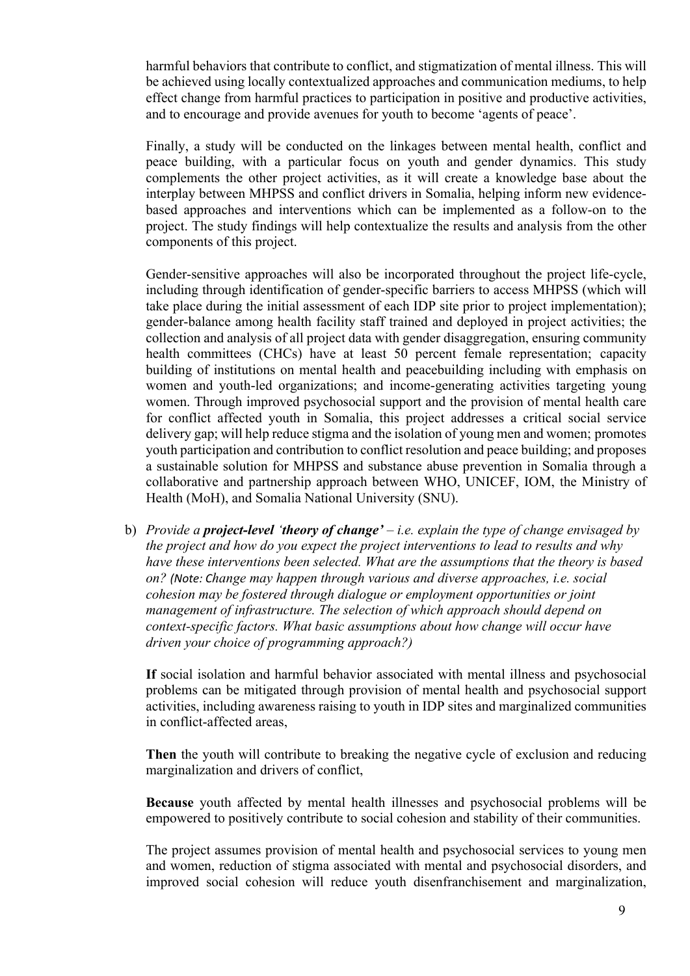harmful behaviors that contribute to conflict, and stigmatization of mental illness. This will be achieved using locally contextualized approaches and communication mediums, to help effect change from harmful practices to participation in positive and productive activities, and to encourage and provide avenues for youth to become 'agents of peace'.

Finally, a study will be conducted on the linkages between mental health, conflict and peace building, with a particular focus on youth and gender dynamics. This study complements the other project activities, as it will create a knowledge base about the interplay between MHPSS and conflict drivers in Somalia, helping inform new evidencebased approaches and interventions which can be implemented as a follow-on to the project. The study findings will help contextualize the results and analysis from the other components of this project.

Gender-sensitive approaches will also be incorporated throughout the project life-cycle, including through identification of gender-specific barriers to access MHPSS (which will take place during the initial assessment of each IDP site prior to project implementation); gender-balance among health facility staff trained and deployed in project activities; the collection and analysis of all project data with gender disaggregation, ensuring community health committees (CHCs) have at least 50 percent female representation; capacity building of institutions on mental health and peacebuilding including with emphasis on women and youth-led organizations; and income-generating activities targeting young women. Through improved psychosocial support and the provision of mental health care for conflict affected youth in Somalia, this project addresses a critical social service delivery gap; will help reduce stigma and the isolation of young men and women; promotes youth participation and contribution to conflict resolution and peace building; and proposes a sustainable solution for MHPSS and substance abuse prevention in Somalia through a collaborative and partnership approach between WHO, UNICEF, IOM, the Ministry of Health (MoH), and Somalia National University (SNU).

b) *Provide a project-level 'theory of change' – i.e. explain the type of change envisaged by the project and how do you expect the project interventions to lead to results and why have these interventions been selected. What are the assumptions that the theory is based on? (Note: Change may happen through various and diverse approaches, i.e. social cohesion may be fostered through dialogue or employment opportunities or joint management of infrastructure. The selection of which approach should depend on context-specific factors. What basic assumptions about how change will occur have driven your choice of programming approach?)*

**If** social isolation and harmful behavior associated with mental illness and psychosocial problems can be mitigated through provision of mental health and psychosocial support activities, including awareness raising to youth in IDP sites and marginalized communities in conflict-affected areas,

**Then** the youth will contribute to breaking the negative cycle of exclusion and reducing marginalization and drivers of conflict,

**Because** youth affected by mental health illnesses and psychosocial problems will be empowered to positively contribute to social cohesion and stability of their communities.

The project assumes provision of mental health and psychosocial services to young men and women, reduction of stigma associated with mental and psychosocial disorders, and improved social cohesion will reduce youth disenfranchisement and marginalization,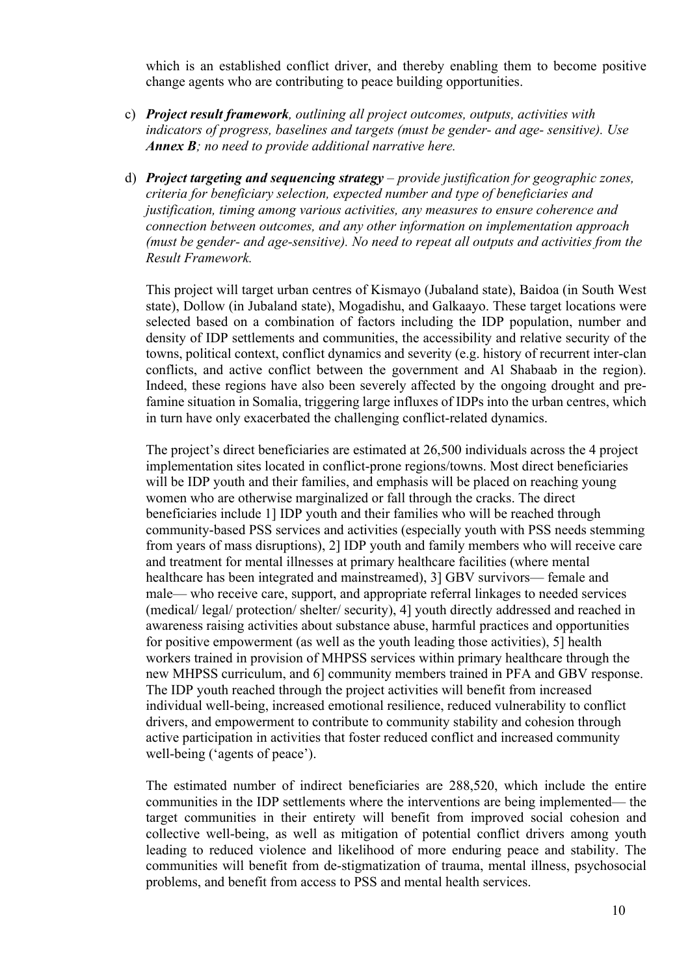which is an established conflict driver, and thereby enabling them to become positive change agents who are contributing to peace building opportunities.

- c) *Project result framework, outlining all project outcomes, outputs, activities with indicators of progress, baselines and targets (must be gender- and age- sensitive). Use Annex B; no need to provide additional narrative here.*
- d) *Project targeting and sequencing strategy – provide justification for geographic zones, criteria for beneficiary selection, expected number and type of beneficiaries and justification, timing among various activities, any measures to ensure coherence and connection between outcomes, and any other information on implementation approach (must be gender- and age-sensitive). No need to repeat all outputs and activities from the Result Framework.*

This project will target urban centres of Kismayo (Jubaland state), Baidoa (in South West state), Dollow (in Jubaland state), Mogadishu, and Galkaayo. These target locations were selected based on a combination of factors including the IDP population, number and density of IDP settlements and communities, the accessibility and relative security of the towns, political context, conflict dynamics and severity (e.g. history of recurrent inter-clan conflicts, and active conflict between the government and Al Shabaab in the region). Indeed, these regions have also been severely affected by the ongoing drought and prefamine situation in Somalia, triggering large influxes of IDPs into the urban centres, which in turn have only exacerbated the challenging conflict-related dynamics.

The project's direct beneficiaries are estimated at 26,500 individuals across the 4 project implementation sites located in conflict-prone regions/towns. Most direct beneficiaries will be IDP youth and their families, and emphasis will be placed on reaching young women who are otherwise marginalized or fall through the cracks. The direct beneficiaries include 1] IDP youth and their families who will be reached through community-based PSS services and activities (especially youth with PSS needs stemming from years of mass disruptions), 2] IDP youth and family members who will receive care and treatment for mental illnesses at primary healthcare facilities (where mental healthcare has been integrated and mainstreamed), 3] GBV survivors— female and male— who receive care, support, and appropriate referral linkages to needed services (medical/ legal/ protection/ shelter/ security), 4] youth directly addressed and reached in awareness raising activities about substance abuse, harmful practices and opportunities for positive empowerment (as well as the youth leading those activities), 5] health workers trained in provision of MHPSS services within primary healthcare through the new MHPSS curriculum, and 6] community members trained in PFA and GBV response. The IDP youth reached through the project activities will benefit from increased individual well-being, increased emotional resilience, reduced vulnerability to conflict drivers, and empowerment to contribute to community stability and cohesion through active participation in activities that foster reduced conflict and increased community well-being ('agents of peace').

The estimated number of indirect beneficiaries are 288,520, which include the entire communities in the IDP settlements where the interventions are being implemented— the target communities in their entirety will benefit from improved social cohesion and collective well-being, as well as mitigation of potential conflict drivers among youth leading to reduced violence and likelihood of more enduring peace and stability. The communities will benefit from de-stigmatization of trauma, mental illness, psychosocial problems, and benefit from access to PSS and mental health services.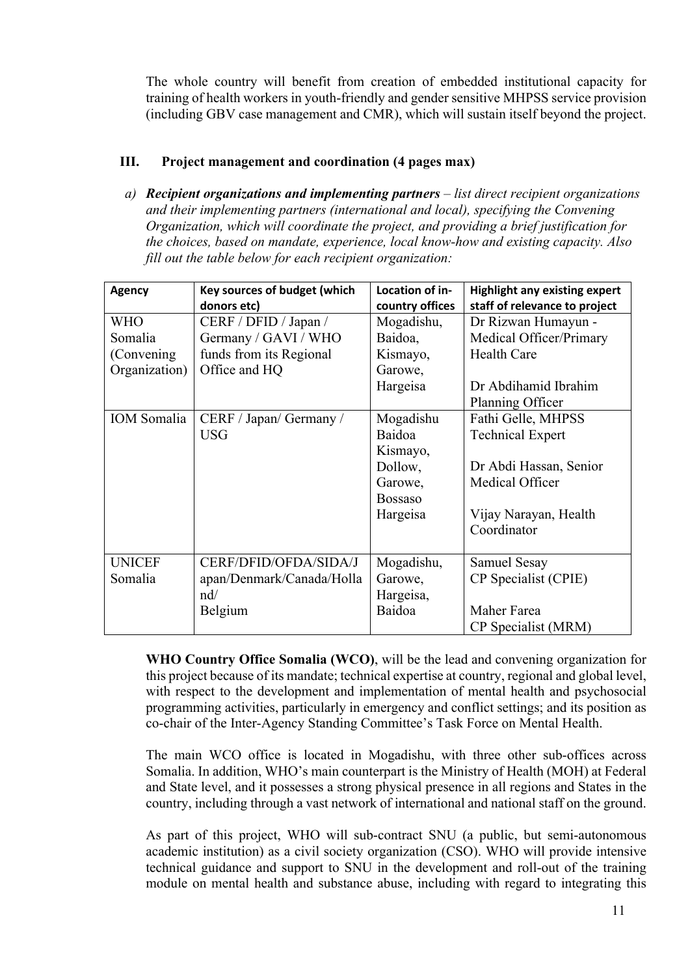The whole country will benefit from creation of embedded institutional capacity for training of health workers in youth-friendly and gender sensitive MHPSS service provision (including GBV case management and CMR), which will sustain itself beyond the project.

## **III. Project management and coordination (4 pages max)**

*a) Recipient organizations and implementing partners – list direct recipient organizations and their implementing partners (international and local), specifying the Convening Organization, which will coordinate the project, and providing a brief justification for the choices, based on mandate, experience, local know-how and existing capacity. Also fill out the table below for each recipient organization:*

| <b>Agency</b>      | <b>Key sources of budget (which</b><br>donors etc) | Location of in-<br>country offices | <b>Highlight any existing expert</b><br>staff of relevance to project |
|--------------------|----------------------------------------------------|------------------------------------|-----------------------------------------------------------------------|
| WHO                | CERF / DFID / Japan /                              | Mogadishu,                         | Dr Rizwan Humayun -                                                   |
| Somalia            | Germany / GAVI / WHO                               | Baidoa,                            | Medical Officer/Primary                                               |
| (Convening)        | funds from its Regional                            | Kismayo,                           | <b>Health Care</b>                                                    |
| Organization)      | Office and HQ                                      | Garowe,                            |                                                                       |
|                    |                                                    | Hargeisa                           | Dr Abdihamid Ibrahim                                                  |
|                    |                                                    |                                    | Planning Officer                                                      |
| <b>IOM</b> Somalia | CERF / Japan/ Germany /                            | Mogadishu                          | Fathi Gelle, MHPSS                                                    |
|                    | <b>USG</b>                                         | Baidoa                             | <b>Technical Expert</b>                                               |
|                    |                                                    | Kismayo,                           |                                                                       |
|                    |                                                    | Dollow,                            | Dr Abdi Hassan, Senior                                                |
|                    |                                                    | Garowe,                            | Medical Officer                                                       |
|                    |                                                    | <b>Bossaso</b>                     |                                                                       |
|                    |                                                    | Hargeisa                           | Vijay Narayan, Health                                                 |
|                    |                                                    |                                    | Coordinator                                                           |
|                    |                                                    |                                    |                                                                       |
| <b>UNICEF</b>      | CERF/DFID/OFDA/SIDA/J                              | Mogadishu,                         | Samuel Sesay                                                          |
| Somalia            | apan/Denmark/Canada/Holla                          | Garowe,                            | CP Specialist (CPIE)                                                  |
|                    | $\mathbf{n}$ d/                                    | Hargeisa,                          |                                                                       |
|                    | Belgium                                            | Baidoa                             | Maher Farea                                                           |
|                    |                                                    |                                    | CP Specialist (MRM)                                                   |

**WHO Country Office Somalia (WCO)**, will be the lead and convening organization for this project because of its mandate; technical expertise at country, regional and global level, with respect to the development and implementation of mental health and psychosocial programming activities, particularly in emergency and conflict settings; and its position as co-chair of the Inter-Agency Standing Committee's Task Force on Mental Health.

The main WCO office is located in Mogadishu, with three other sub-offices across Somalia. In addition, WHO's main counterpart is the Ministry of Health (MOH) at Federal and State level, and it possesses a strong physical presence in all regions and States in the country, including through a vast network of international and national staff on the ground.

As part of this project, WHO will sub-contract SNU (a public, but semi-autonomous academic institution) as a civil society organization (CSO). WHO will provide intensive technical guidance and support to SNU in the development and roll-out of the training module on mental health and substance abuse, including with regard to integrating this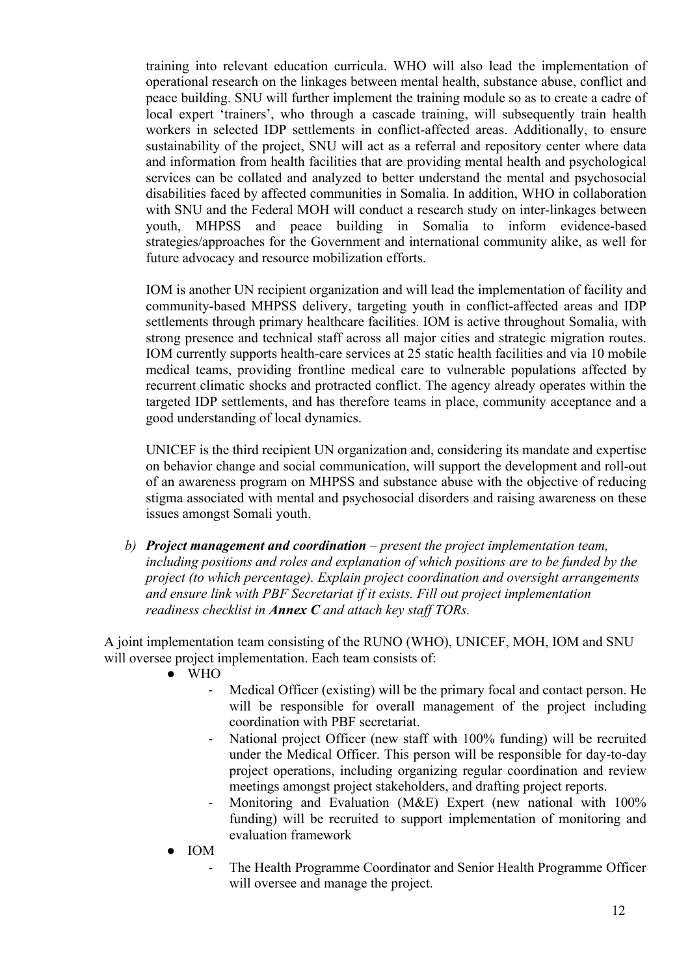training into relevant education curricula. WHO will also lead the implementation of operational research on the linkages between mental health, substance abuse, conflict and peace building. SNU will further implement the training module so as to create a cadre of local expert 'trainers', who through a cascade training, will subsequently train health workers in selected IDP settlements in conflict-affected areas. Additionally, to ensure sustainability of the project, SNU will act as a referral and repository center where data and information from health facilities that are providing mental health and psychological services can be collated and analyzed to better understand the mental and psychosocial disabilities faced by affected communities in Somalia. In addition, WHO in collaboration with SNU and the Federal MOH will conduct a research study on inter-linkages between youth, MHPSS and peace building in Somalia to inform evidence-based strategies/approaches for the Government and international community alike, as well for future advocacy and resource mobilization efforts.

IOM is another UN recipient organization and will lead the implementation of facility and community-based MHPSS delivery, targeting youth in conflict-affected areas and IDP settlements through primary healthcare facilities. IOM is active throughout Somalia, with strong presence and technical staff across all major cities and strategic migration routes. IOM currently supports health-care services at 25 static health facilities and via 10 mobile medical teams, providing frontline medical care to vulnerable populations affected by recurrent climatic shocks and protracted conflict. The agency already operates within the targeted IDP settlements, and has therefore teams in place, community acceptance and a good understanding of local dynamics.

UNICEF is the third recipient UN organization and, considering its mandate and expertise on behavior change and social communication, will support the development and roll-out of an awareness program on MHPSS and substance abuse with the objective of reducing stigma associated with mental and psychosocial disorders and raising awareness on these issues amongst Somali youth.

*b) Project management and coordination – present the project implementation team, including positions and roles and explanation of which positions are to be funded by the project (to which percentage). Explain project coordination and oversight arrangements and ensure link with PBF Secretariat if it exists. Fill out project implementation readiness checklist in Annex C and attach key staff TORs.*

A joint implementation team consisting of the RUNO (WHO), UNICEF, MOH, IOM and SNU will oversee project implementation. Each team consists of:

- WHO
	- Medical Officer (existing) will be the primary focal and contact person. He will be responsible for overall management of the project including coordination with PBF secretariat.
	- National project Officer (new staff with 100% funding) will be recruited under the Medical Officer. This person will be responsible for day-to-day project operations, including organizing regular coordination and review meetings amongst project stakeholders, and drafting project reports.
	- Monitoring and Evaluation (M&E) Expert (new national with 100% funding) will be recruited to support implementation of monitoring and evaluation framework
- IOM
	- The Health Programme Coordinator and Senior Health Programme Officer will oversee and manage the project.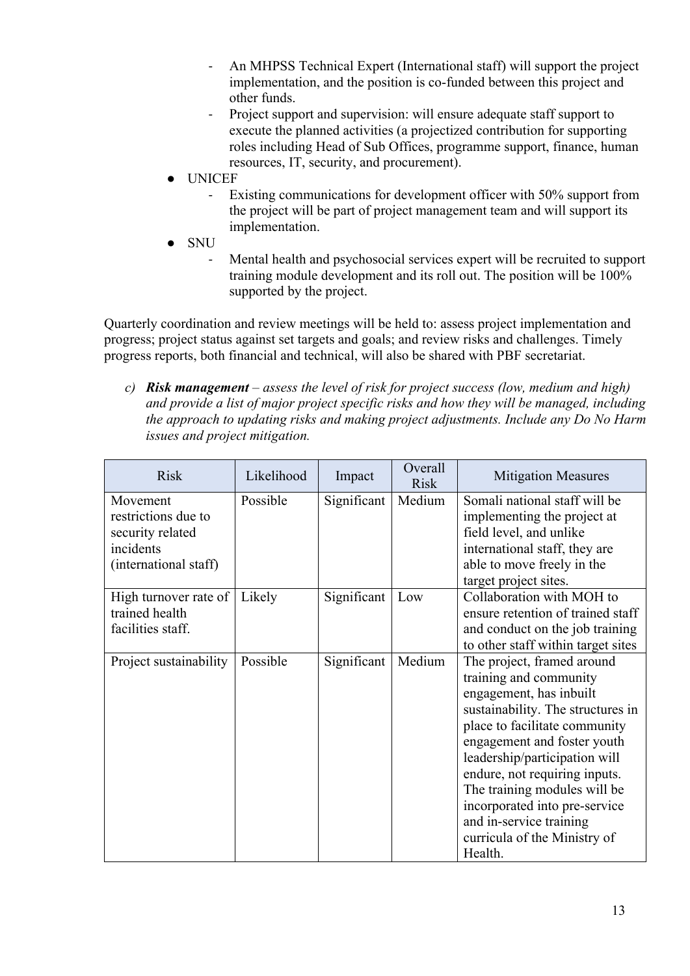- An MHPSS Technical Expert (International staff) will support the project implementation, and the position is co-funded between this project and other funds.
- Project support and supervision: will ensure adequate staff support to execute the planned activities (a projectized contribution for supporting roles including Head of Sub Offices, programme support, finance, human resources, IT, security, and procurement).
- **UNICEF** 
	- Existing communications for development officer with 50% support from the project will be part of project management team and will support its implementation.
- **SNU** 
	- Mental health and psychosocial services expert will be recruited to support training module development and its roll out. The position will be 100% supported by the project.

Quarterly coordination and review meetings will be held to: assess project implementation and progress; project status against set targets and goals; and review risks and challenges. Timely progress reports, both financial and technical, will also be shared with PBF secretariat.

*c) Risk management – assess the level of risk for project success (low, medium and high) and provide a list of major project specific risks and how they will be managed, including the approach to updating risks and making project adjustments. Include any Do No Harm issues and project mitigation.*

| <b>Risk</b>                                                                               | Likelihood | Impact      | Overall<br><b>Risk</b> | <b>Mitigation Measures</b>                                                                                                                                                                                                                                                                                                                                                                    |
|-------------------------------------------------------------------------------------------|------------|-------------|------------------------|-----------------------------------------------------------------------------------------------------------------------------------------------------------------------------------------------------------------------------------------------------------------------------------------------------------------------------------------------------------------------------------------------|
| Movement<br>restrictions due to<br>security related<br>incidents<br>(international staff) | Possible   | Significant | Medium                 | Somali national staff will be<br>implementing the project at<br>field level, and unlike<br>international staff, they are<br>able to move freely in the<br>target project sites.                                                                                                                                                                                                               |
| High turnover rate of<br>trained health<br>facilities staff.                              | Likely     | Significant | Low                    | Collaboration with MOH to<br>ensure retention of trained staff<br>and conduct on the job training<br>to other staff within target sites                                                                                                                                                                                                                                                       |
| Project sustainability                                                                    | Possible   | Significant | Medium                 | The project, framed around<br>training and community<br>engagement, has inbuilt<br>sustainability. The structures in<br>place to facilitate community<br>engagement and foster youth<br>leadership/participation will<br>endure, not requiring inputs.<br>The training modules will be<br>incorporated into pre-service<br>and in-service training<br>curricula of the Ministry of<br>Health. |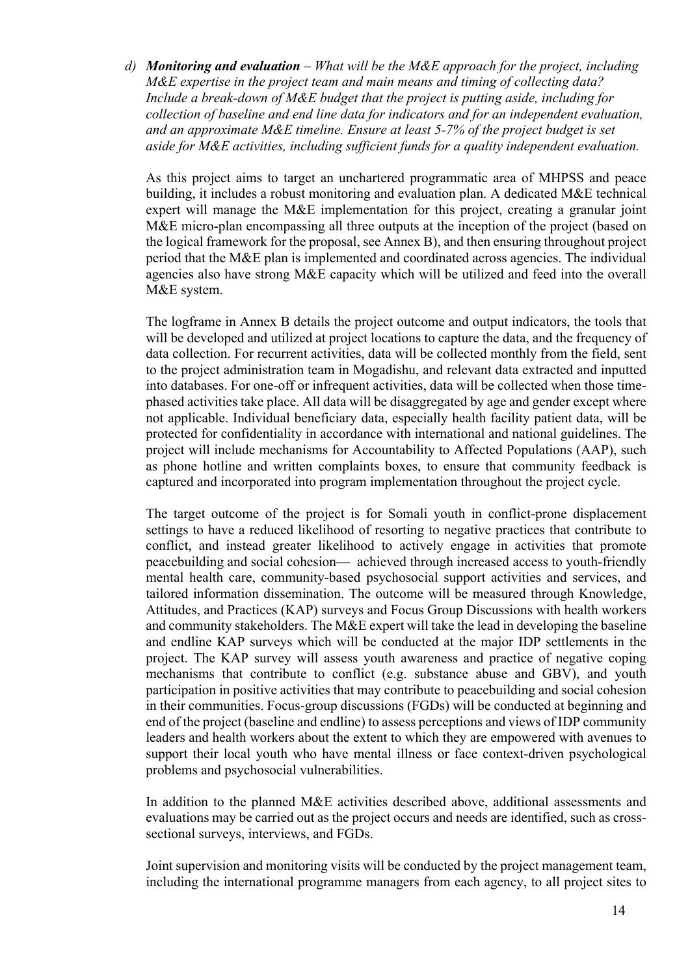*d) Monitoring and evaluation – What will be the M&E approach for the project, including M&E expertise in the project team and main means and timing of collecting data? Include a break-down of M&E budget that the project is putting aside, including for collection of baseline and end line data for indicators and for an independent evaluation, and an approximate M&E timeline. Ensure at least 5-7% of the project budget is set aside for M&E activities, including sufficient funds for a quality independent evaluation.*

As this project aims to target an unchartered programmatic area of MHPSS and peace building, it includes a robust monitoring and evaluation plan. A dedicated M&E technical expert will manage the M&E implementation for this project, creating a granular joint M&E micro-plan encompassing all three outputs at the inception of the project (based on the logical framework for the proposal, see Annex B), and then ensuring throughout project period that the M&E plan is implemented and coordinated across agencies. The individual agencies also have strong M&E capacity which will be utilized and feed into the overall M&E system.

The logframe in Annex B details the project outcome and output indicators, the tools that will be developed and utilized at project locations to capture the data, and the frequency of data collection. For recurrent activities, data will be collected monthly from the field, sent to the project administration team in Mogadishu, and relevant data extracted and inputted into databases. For one-off or infrequent activities, data will be collected when those timephased activities take place. All data will be disaggregated by age and gender except where not applicable. Individual beneficiary data, especially health facility patient data, will be protected for confidentiality in accordance with international and national guidelines. The project will include mechanisms for Accountability to Affected Populations (AAP), such as phone hotline and written complaints boxes, to ensure that community feedback is captured and incorporated into program implementation throughout the project cycle.

The target outcome of the project is for Somali youth in conflict-prone displacement settings to have a reduced likelihood of resorting to negative practices that contribute to conflict, and instead greater likelihood to actively engage in activities that promote peacebuilding and social cohesion— achieved through increased access to youth-friendly mental health care, community-based psychosocial support activities and services, and tailored information dissemination. The outcome will be measured through Knowledge, Attitudes, and Practices (KAP) surveys and Focus Group Discussions with health workers and community stakeholders. The M&E expert will take the lead in developing the baseline and endline KAP surveys which will be conducted at the major IDP settlements in the project. The KAP survey will assess youth awareness and practice of negative coping mechanisms that contribute to conflict (e.g. substance abuse and GBV), and youth participation in positive activities that may contribute to peacebuilding and social cohesion in their communities. Focus-group discussions (FGDs) will be conducted at beginning and end of the project (baseline and endline) to assess perceptions and views of IDP community leaders and health workers about the extent to which they are empowered with avenues to support their local youth who have mental illness or face context-driven psychological problems and psychosocial vulnerabilities.

In addition to the planned M&E activities described above, additional assessments and evaluations may be carried out as the project occurs and needs are identified, such as crosssectional surveys, interviews, and FGDs.

Joint supervision and monitoring visits will be conducted by the project management team, including the international programme managers from each agency, to all project sites to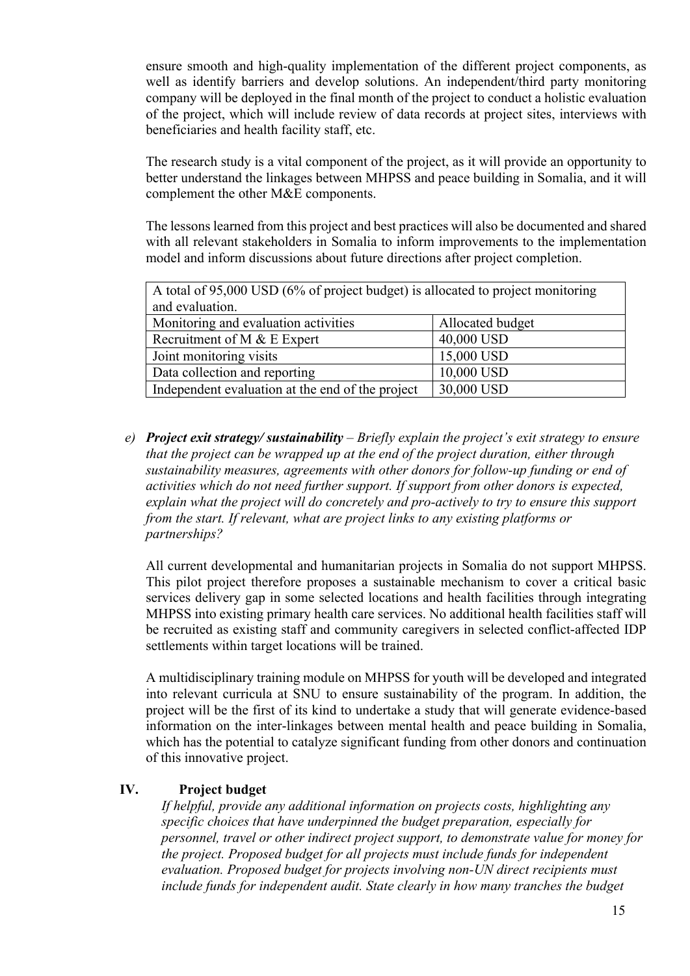ensure smooth and high-quality implementation of the different project components, as well as identify barriers and develop solutions. An independent/third party monitoring company will be deployed in the final month of the project to conduct a holistic evaluation of the project, which will include review of data records at project sites, interviews with beneficiaries and health facility staff, etc.

The research study is a vital component of the project, as it will provide an opportunity to better understand the linkages between MHPSS and peace building in Somalia, and it will complement the other M&E components.

The lessons learned from this project and best practices will also be documented and shared with all relevant stakeholders in Somalia to inform improvements to the implementation model and inform discussions about future directions after project completion.

| A total of 95,000 USD (6% of project budget) is allocated to project monitoring |                  |  |  |
|---------------------------------------------------------------------------------|------------------|--|--|
| and evaluation.                                                                 |                  |  |  |
| Monitoring and evaluation activities                                            | Allocated budget |  |  |
| Recruitment of M & E Expert                                                     | 40,000 USD       |  |  |
| Joint monitoring visits                                                         | 15,000 USD       |  |  |
| 10,000 USD<br>Data collection and reporting                                     |                  |  |  |
| 30,000 USD<br>Independent evaluation at the end of the project                  |                  |  |  |

*e) Project exit strategy/ sustainability – Briefly explain the project's exit strategy to ensure that the project can be wrapped up at the end of the project duration, either through sustainability measures, agreements with other donors for follow-up funding or end of activities which do not need further support. If support from other donors is expected, explain what the project will do concretely and pro-actively to try to ensure this support from the start. If relevant, what are project links to any existing platforms or partnerships?*

All current developmental and humanitarian projects in Somalia do not support MHPSS. This pilot project therefore proposes a sustainable mechanism to cover a critical basic services delivery gap in some selected locations and health facilities through integrating MHPSS into existing primary health care services. No additional health facilities staff will be recruited as existing staff and community caregivers in selected conflict-affected IDP settlements within target locations will be trained.

A multidisciplinary training module on MHPSS for youth will be developed and integrated into relevant curricula at SNU to ensure sustainability of the program. In addition, the project will be the first of its kind to undertake a study that will generate evidence-based information on the inter-linkages between mental health and peace building in Somalia, which has the potential to catalyze significant funding from other donors and continuation of this innovative project.

## **IV. Project budget**

*If helpful, provide any additional information on projects costs, highlighting any specific choices that have underpinned the budget preparation, especially for personnel, travel or other indirect project support, to demonstrate value for money for the project. Proposed budget for all projects must include funds for independent evaluation. Proposed budget for projects involving non-UN direct recipients must include funds for independent audit. State clearly in how many tranches the budget*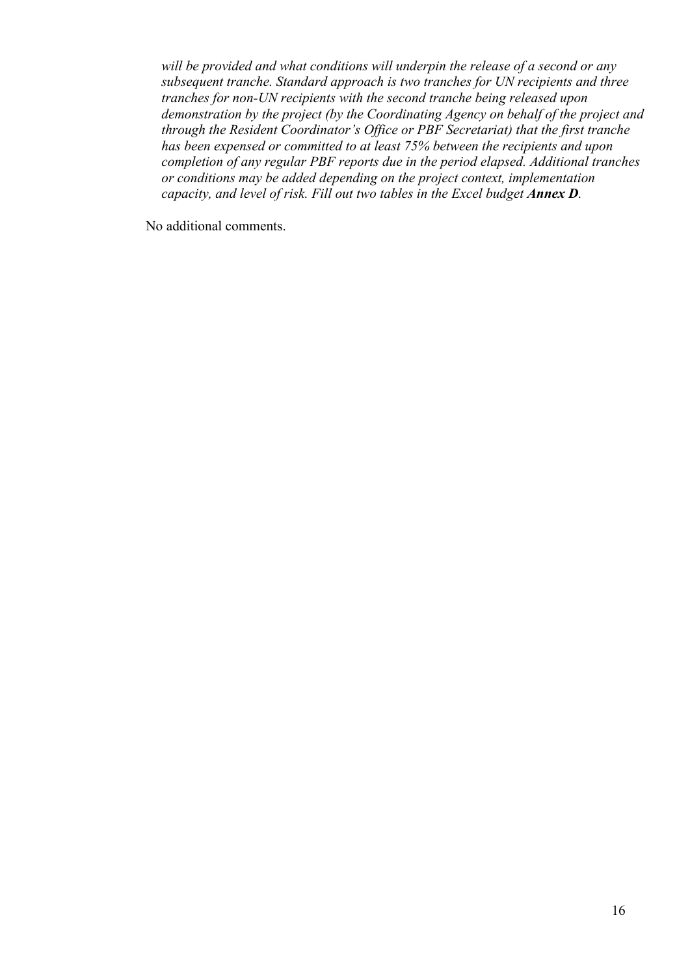*will be provided and what conditions will underpin the release of a second or any subsequent tranche. Standard approach is two tranches for UN recipients and three tranches for non-UN recipients with the second tranche being released upon demonstration by the project (by the Coordinating Agency on behalf of the project and through the Resident Coordinator's Office or PBF Secretariat) that the first tranche has been expensed or committed to at least 75% between the recipients and upon completion of any regular PBF reports due in the period elapsed. Additional tranches or conditions may be added depending on the project context, implementation capacity, and level of risk. Fill out two tables in the Excel budget Annex D.*

No additional comments.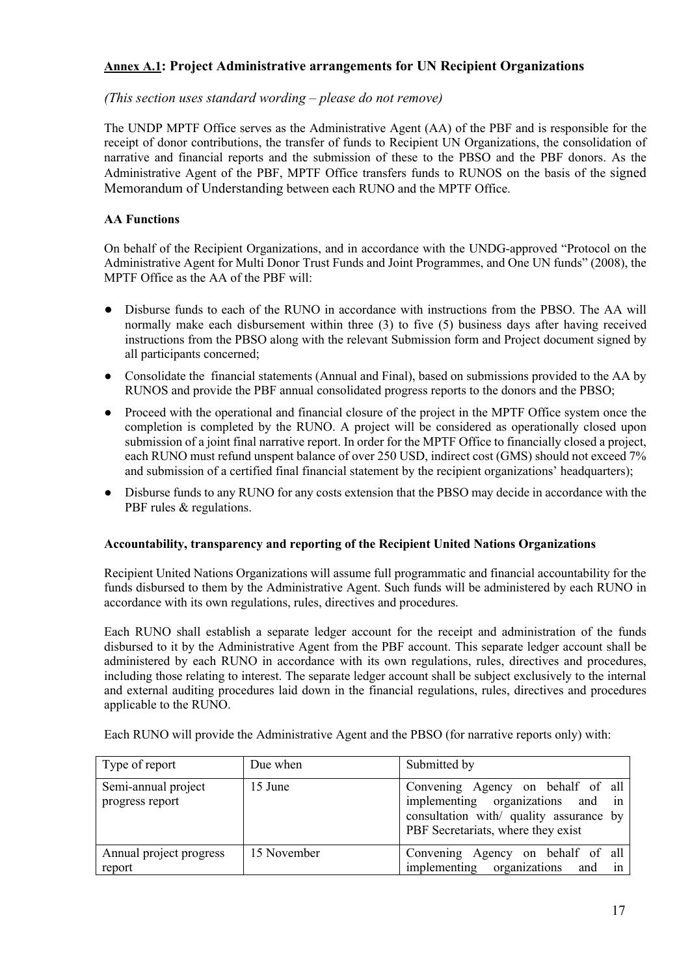## **Annex A.1: Project Administrative arrangements for UN Recipient Organizations**

#### *(This section uses standard wording – please do not remove)*

The UNDP MPTF Office serves as the Administrative Agent (AA) of the PBF and is responsible for the receipt of donor contributions, the transfer of funds to Recipient UN Organizations, the consolidation of narrative and financial reports and the submission of these to the PBSO and the PBF donors. As the Administrative Agent of the PBF, MPTF Office transfers funds to RUNOS on the basis of the signed Memorandum of Understanding between each RUNO and the MPTF Office.

#### **AA Functions**

report

On behalf of the Recipient Organizations, and in accordance with the UNDG-approved "Protocol on the Administrative Agent for Multi Donor Trust Funds and Joint Programmes, and One UN funds" (2008), the MPTF Office as the AA of the PBF will:

- Disburse funds to each of the RUNO in accordance with instructions from the PBSO. The AA will normally make each disbursement within three (3) to five (5) business days after having received instructions from the PBSO along with the relevant Submission form and Project document signed by all participants concerned;
- Consolidate the financial statements (Annual and Final), based on submissions provided to the AA by RUNOS and provide the PBF annual consolidated progress reports to the donors and the PBSO;
- Proceed with the operational and financial closure of the project in the MPTF Office system once the completion is completed by the RUNO. A project will be considered as operationally closed upon submission of a joint final narrative report. In order for the MPTF Office to financially closed a project, each RUNO must refund unspent balance of over 250 USD, indirect cost (GMS) should not exceed 7% and submission of a certified final financial statement by the recipient organizations' headquarters);
- Disburse funds to any RUNO for any costs extension that the PBSO may decide in accordance with the PBF rules & regulations.

#### **Accountability, transparency and reporting of the Recipient United Nations Organizations**

Recipient United Nations Organizations will assume full programmatic and financial accountability for the funds disbursed to them by the Administrative Agent. Such funds will be administered by each RUNO in accordance with its own regulations, rules, directives and procedures.

Each RUNO shall establish a separate ledger account for the receipt and administration of the funds disbursed to it by the Administrative Agent from the PBF account. This separate ledger account shall be administered by each RUNO in accordance with its own regulations, rules, directives and procedures, including those relating to interest. The separate ledger account shall be subject exclusively to the internal and external auditing procedures laid down in the financial regulations, rules, directives and procedures applicable to the RUNO.

| Type of report                         | Due when | Submitted by                                                                                                      |
|----------------------------------------|----------|-------------------------------------------------------------------------------------------------------------------|
| Semi-annual project<br>progress report | 15 June  | Convening Agency on behalf of all<br>implementing organizations and in<br>consultation with/ quality assurance by |

Each RUNO will provide the Administrative Agent and the PBSO (for narrative reports only) with: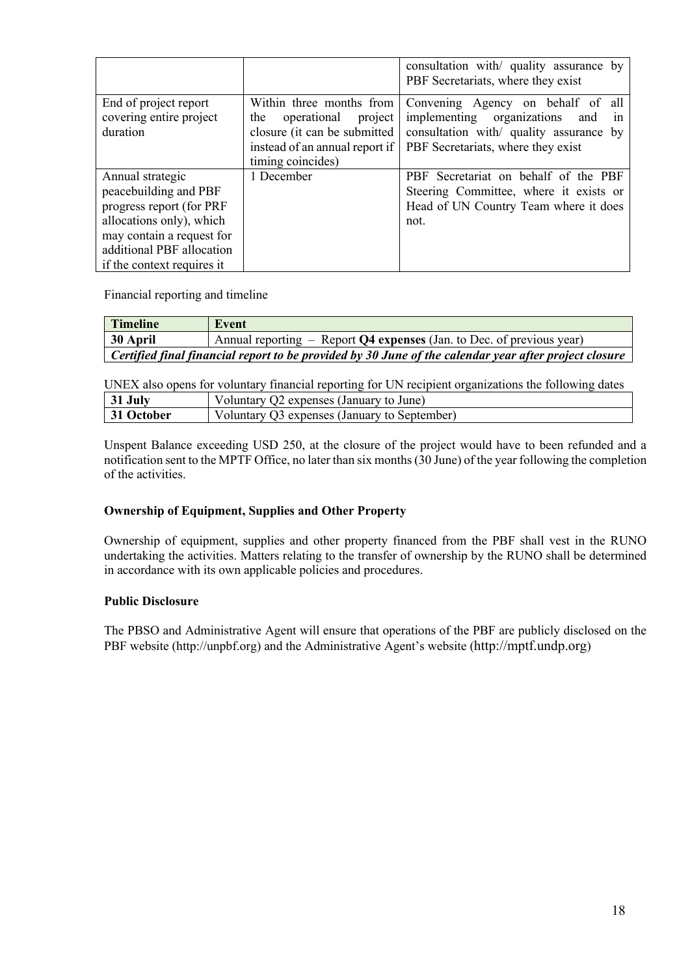|                                                              |                                                                                                                                                  | consultation with quality assurance by<br>PBF Secretariats, where they exist                                                                                  |
|--------------------------------------------------------------|--------------------------------------------------------------------------------------------------------------------------------------------------|---------------------------------------------------------------------------------------------------------------------------------------------------------------|
| End of project report<br>covering entire project<br>duration | Within three months from<br>operational<br>project<br>the<br>closure (it can be submitted<br>instead of an annual report if<br>timing coincides) | Convening Agency on behalf of all<br>implementing organizations<br>and<br>1n<br>consultation with/ quality assurance by<br>PBF Secretariats, where they exist |
| Annual strategic                                             | 1 December                                                                                                                                       | PBF Secretariat on behalf of the PBF                                                                                                                          |
| peacebuilding and PBF                                        |                                                                                                                                                  | Steering Committee, where it exists or                                                                                                                        |
| progress report (for PRF                                     |                                                                                                                                                  | Head of UN Country Team where it does                                                                                                                         |
| allocations only), which                                     |                                                                                                                                                  | not.                                                                                                                                                          |
| may contain a request for                                    |                                                                                                                                                  |                                                                                                                                                               |
| additional PBF allocation                                    |                                                                                                                                                  |                                                                                                                                                               |
| if the context requires it                                   |                                                                                                                                                  |                                                                                                                                                               |

Financial reporting and timeline

| <b>Timeline</b>                                                                                       | Event                                                                   |  |
|-------------------------------------------------------------------------------------------------------|-------------------------------------------------------------------------|--|
| 30 April                                                                                              | Annual reporting $-$ Report Q4 expenses (Jan. to Dec. of previous year) |  |
| Certified final financial report to be provided by 30 June of the calendar year after project closure |                                                                         |  |

UNEX also opens for voluntary financial reporting for UN recipient organizations the following dates **31 July** Voluntary Q2 expenses (January to June)

| Julv.    | $\cdot$ ) /<br>2 expenses (January to June)  |
|----------|----------------------------------------------|
| .)ctober | Voluntary O3 expenses (January to September) |

Unspent Balance exceeding USD 250, at the closure of the project would have to been refunded and a notification sent to the MPTF Office, no later than six months (30 June) of the year following the completion of the activities.

#### **Ownership of Equipment, Supplies and Other Property**

Ownership of equipment, supplies and other property financed from the PBF shall vest in the RUNO undertaking the activities. Matters relating to the transfer of ownership by the RUNO shall be determined in accordance with its own applicable policies and procedures.

#### **Public Disclosure**

The PBSO and Administrative Agent will ensure that operations of the PBF are publicly disclosed on the PBF website (http://unpbf.org) and the Administrative Agent's website (http://mptf.undp.org)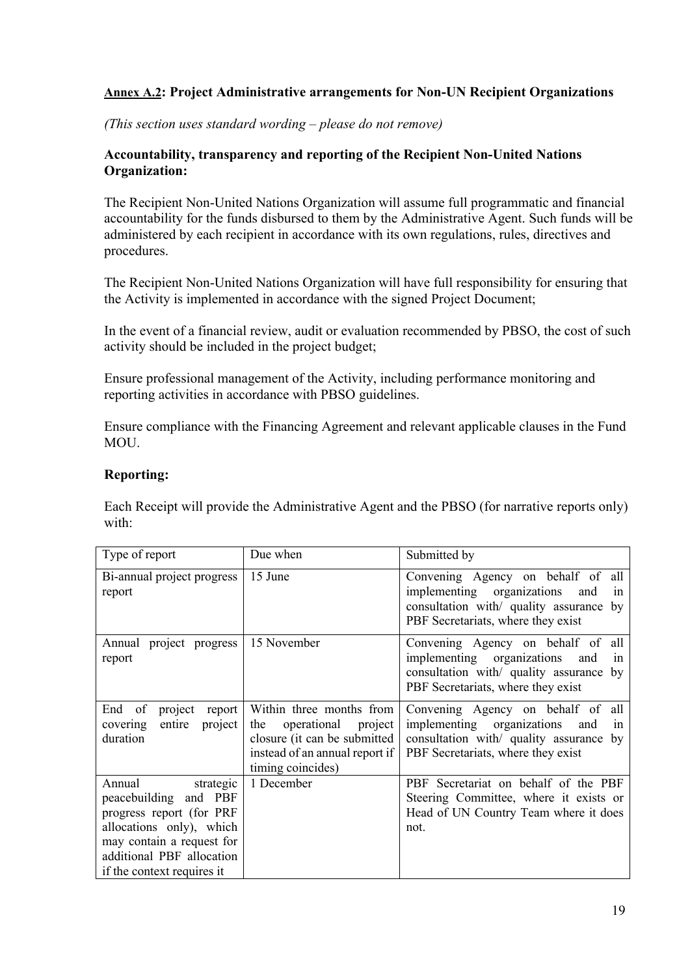## **Annex A.2: Project Administrative arrangements for Non-UN Recipient Organizations**

*(This section uses standard wording – please do not remove)*

## **Accountability, transparency and reporting of the Recipient Non-United Nations Organization:**

The Recipient Non-United Nations Organization will assume full programmatic and financial accountability for the funds disbursed to them by the Administrative Agent. Such funds will be administered by each recipient in accordance with its own regulations, rules, directives and procedures.

The Recipient Non-United Nations Organization will have full responsibility for ensuring that the Activity is implemented in accordance with the signed Project Document;

In the event of a financial review, audit or evaluation recommended by PBSO, the cost of such activity should be included in the project budget;

Ensure professional management of the Activity, including performance monitoring and reporting activities in accordance with PBSO guidelines.

Ensure compliance with the Financing Agreement and relevant applicable clauses in the Fund MOU.

## **Reporting:**

Each Receipt will provide the Administrative Agent and the PBSO (for narrative reports only) with:

| Type of report                                                                                                   | Due when                                                                                                                                         | Submitted by                                                                                                                                                     |
|------------------------------------------------------------------------------------------------------------------|--------------------------------------------------------------------------------------------------------------------------------------------------|------------------------------------------------------------------------------------------------------------------------------------------------------------------|
| Bi-annual project progress<br>report                                                                             | 15 June                                                                                                                                          | Convening Agency on behalf of all<br>implementing organizations<br>and<br>1n<br>consultation with/ quality assurance by<br>PBF Secretariats, where they exist    |
| Annual project progress<br>report                                                                                | 15 November                                                                                                                                      | Convening Agency on behalf of all<br>implementing organizations<br>and<br>1n<br>consultation with/ quality assurance<br>by<br>PBF Secretariats, where they exist |
| End of<br>project<br>report<br>entire<br>covering<br>project<br>duration                                         | Within three months from<br>operational<br>the<br>project<br>closure (it can be submitted<br>instead of an annual report if<br>timing coincides) | Convening Agency on behalf of all<br>implementing organizations<br>and<br>1n<br>consultation with/ quality assurance by<br>PBF Secretariats, where they exist    |
| Annual<br>strategic<br>peacebuilding and PBF<br>progress report (for PRF                                         | 1 December                                                                                                                                       | PBF Secretariat on behalf of the PBF<br>Steering Committee, where it exists or<br>Head of UN Country Team where it does                                          |
| allocations only), which<br>may contain a request for<br>additional PBF allocation<br>if the context requires it |                                                                                                                                                  | not.                                                                                                                                                             |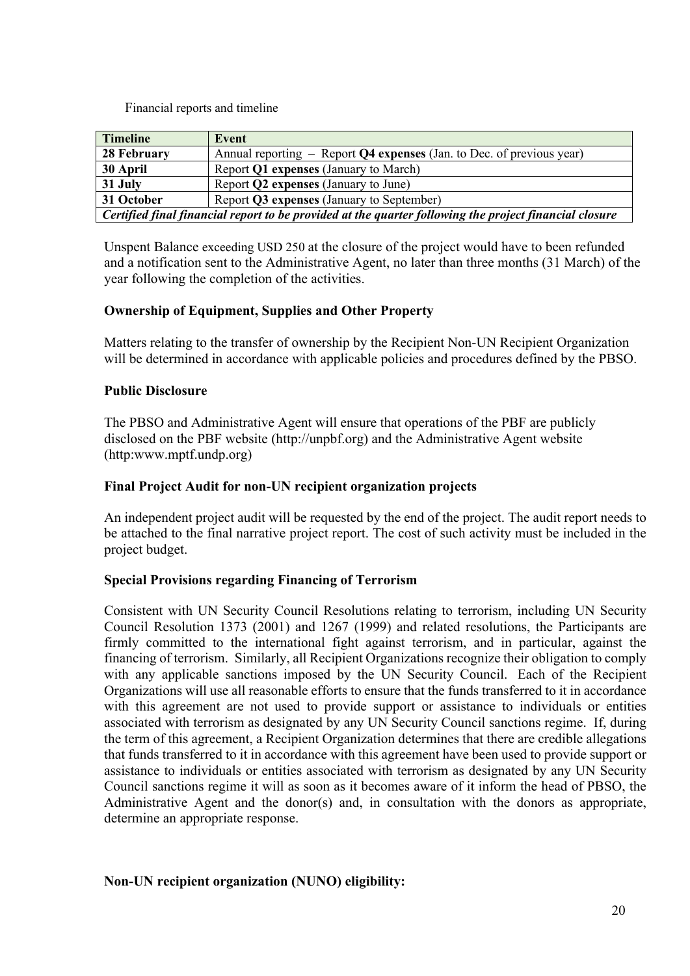Financial reports and timeline

| <b>Timeline</b>                                                                                        | Event                                                                   |  |  |
|--------------------------------------------------------------------------------------------------------|-------------------------------------------------------------------------|--|--|
| 28 February                                                                                            | Annual reporting $-$ Report Q4 expenses (Jan. to Dec. of previous year) |  |  |
| 30 April                                                                                               | Report Q1 expenses (January to March)                                   |  |  |
| 31 July                                                                                                | Report Q2 expenses (January to June)                                    |  |  |
| 31 October                                                                                             | Report Q3 expenses (January to September)                               |  |  |
| Certified final financial report to be provided at the quarter following the project financial closure |                                                                         |  |  |

Unspent Balance exceeding USD 250 at the closure of the project would have to been refunded and a notification sent to the Administrative Agent, no later than three months (31 March) of the year following the completion of the activities.

## **Ownership of Equipment, Supplies and Other Property**

Matters relating to the transfer of ownership by the Recipient Non-UN Recipient Organization will be determined in accordance with applicable policies and procedures defined by the PBSO.

#### **Public Disclosure**

The PBSO and Administrative Agent will ensure that operations of the PBF are publicly disclosed on the PBF website (http://unpbf.org) and the Administrative Agent website (http:www.mptf.undp.org)

#### **Final Project Audit for non-UN recipient organization projects**

An independent project audit will be requested by the end of the project. The audit report needs to be attached to the final narrative project report. The cost of such activity must be included in the project budget.

## **Special Provisions regarding Financing of Terrorism**

Consistent with UN Security Council Resolutions relating to terrorism, including UN Security Council Resolution 1373 (2001) and 1267 (1999) and related resolutions, the Participants are firmly committed to the international fight against terrorism, and in particular, against the financing of terrorism. Similarly, all Recipient Organizations recognize their obligation to comply with any applicable sanctions imposed by the UN Security Council. Each of the Recipient Organizations will use all reasonable efforts to ensure that the funds transferred to it in accordance with this agreement are not used to provide support or assistance to individuals or entities associated with terrorism as designated by any UN Security Council sanctions regime. If, during the term of this agreement, a Recipient Organization determines that there are credible allegations that funds transferred to it in accordance with this agreement have been used to provide support or assistance to individuals or entities associated with terrorism as designated by any UN Security Council sanctions regime it will as soon as it becomes aware of it inform the head of PBSO, the Administrative Agent and the donor(s) and, in consultation with the donors as appropriate, determine an appropriate response.

## **Non-UN recipient organization (NUNO) eligibility:**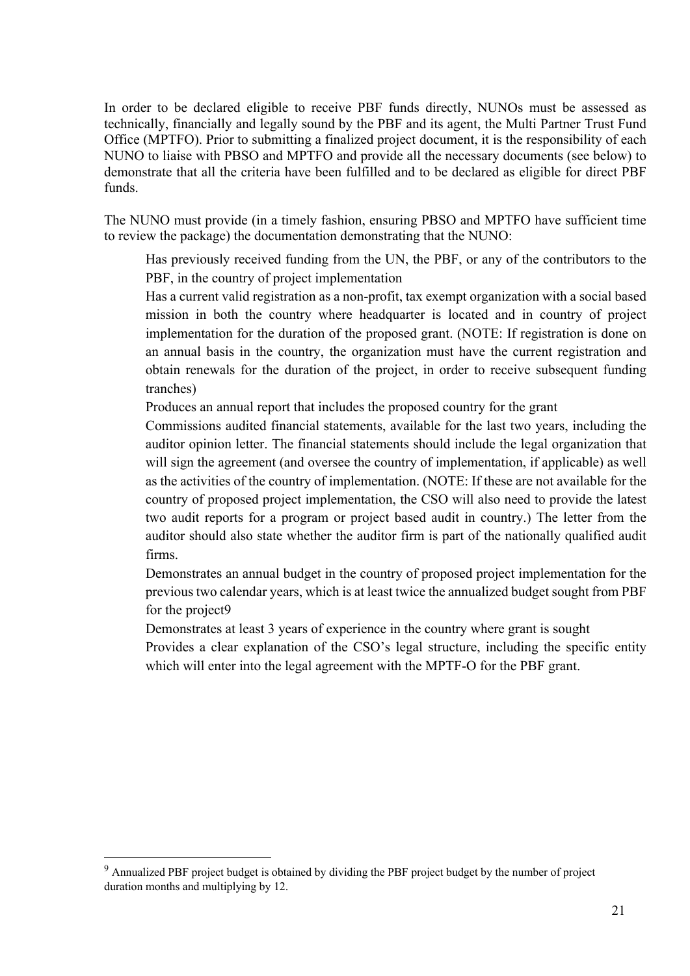In order to be declared eligible to receive PBF funds directly, NUNOs must be assessed as technically, financially and legally sound by the PBF and its agent, the Multi Partner Trust Fund Office (MPTFO). Prior to submitting a finalized project document, it is the responsibility of each NUNO to liaise with PBSO and MPTFO and provide all the necessary documents (see below) to demonstrate that all the criteria have been fulfilled and to be declared as eligible for direct PBF funds.

The NUNO must provide (in a timely fashion, ensuring PBSO and MPTFO have sufficient time to review the package) the documentation demonstrating that the NUNO:

 Has previously received funding from the UN, the PBF, or any of the contributors to the PBF, in the country of project implementation

 Has a current valid registration as a non-profit, tax exempt organization with a social based mission in both the country where headquarter is located and in country of project implementation for the duration of the proposed grant. (NOTE: If registration is done on an annual basis in the country, the organization must have the current registration and obtain renewals for the duration of the project, in order to receive subsequent funding tranches)

Produces an annual report that includes the proposed country for the grant

 Commissions audited financial statements, available for the last two years, including the auditor opinion letter. The financial statements should include the legal organization that will sign the agreement (and oversee the country of implementation, if applicable) as well as the activities of the country of implementation. (NOTE: If these are not available for the country of proposed project implementation, the CSO will also need to provide the latest two audit reports for a program or project based audit in country.) The letter from the auditor should also state whether the auditor firm is part of the nationally qualified audit firms.

 Demonstrates an annual budget in the country of proposed project implementation for the previous two calendar years, which is at least twice the annualized budget sought from PBF for the project9

Demonstrates at least 3 years of experience in the country where grant is sought

 Provides a clear explanation of the CSO's legal structure, including the specific entity which will enter into the legal agreement with the MPTF-O for the PBF grant.

<sup>9</sup> Annualized PBF project budget is obtained by dividing the PBF project budget by the number of project duration months and multiplying by 12.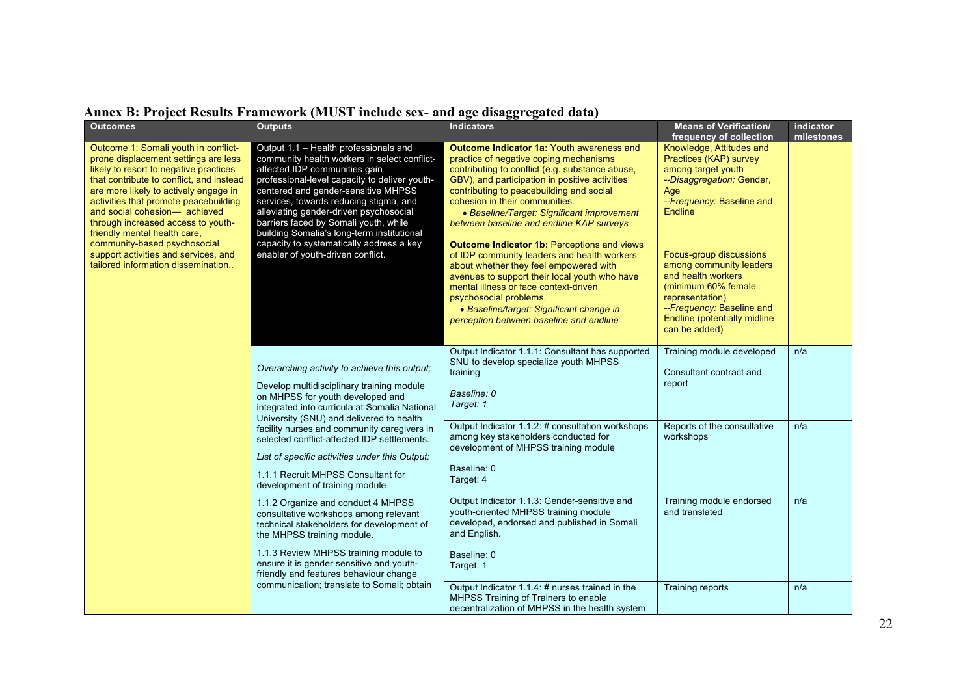| <b>Outcomes</b>                                                                                                                                                                                                                                                                                                                                                                                                                                                           | <b>Outputs</b>                                                                                                                                                                                                                                                                                                                                                                                                                                                                                                                                                                                                                                                                                                                                                                                                                                                                                                                                                                                                                                                                                                                                                                                           | <b>Indicators</b>                                                                                                                                                               | <b>Means of Verification/</b><br>frequency of collection                                                                                                                                                                                                                                                                                                         | indicator<br>milestones |
|---------------------------------------------------------------------------------------------------------------------------------------------------------------------------------------------------------------------------------------------------------------------------------------------------------------------------------------------------------------------------------------------------------------------------------------------------------------------------|----------------------------------------------------------------------------------------------------------------------------------------------------------------------------------------------------------------------------------------------------------------------------------------------------------------------------------------------------------------------------------------------------------------------------------------------------------------------------------------------------------------------------------------------------------------------------------------------------------------------------------------------------------------------------------------------------------------------------------------------------------------------------------------------------------------------------------------------------------------------------------------------------------------------------------------------------------------------------------------------------------------------------------------------------------------------------------------------------------------------------------------------------------------------------------------------------------|---------------------------------------------------------------------------------------------------------------------------------------------------------------------------------|------------------------------------------------------------------------------------------------------------------------------------------------------------------------------------------------------------------------------------------------------------------------------------------------------------------------------------------------------------------|-------------------------|
| Outcome 1: Somali youth in conflict-<br>prone displacement settings are less<br>likely to resort to negative practices<br>that contribute to conflict, and instead<br>are more likely to actively engage in<br>activities that promote peacebuilding<br>and social cohesion- achieved<br>through increased access to youth-<br>friendly mental health care,<br>community-based psychosocial<br>support activities and services, and<br>tailored information dissemination | <b>Outcome Indicator 1a: Youth awareness and</b><br>Output 1.1 - Health professionals and<br>community health workers in select conflict-<br>practice of negative coping mechanisms<br>affected IDP communities gain<br>contributing to conflict (e.g. substance abuse,<br>professional-level capacity to deliver youth-<br>GBV), and participation in positive activities<br>centered and gender-sensitive MHPSS<br>contributing to peacebuilding and social<br>services, towards reducing stigma, and<br>cohesion in their communities.<br>alleviating gender-driven psychosocial<br>• Baseline/Target: Significant improvement<br>barriers faced by Somali youth, while<br>between baseline and endline KAP surveys<br>building Somalia's long-term institutional<br>capacity to systematically address a key<br>Outcome Indicator 1b: Perceptions and views<br>enabler of youth-driven conflict.<br>of IDP community leaders and health workers<br>about whether they feel empowered with<br>avenues to support their local youth who have<br>mental illness or face context-driven<br>psychosocial problems.<br>• Baseline/target: Significant change in<br>perception between baseline and endline |                                                                                                                                                                                 | Knowledge, Attitudes and<br>Practices (KAP) survey<br>among target youth<br>--Disaggregation: Gender,<br>Age<br>--Frequency: Baseline and<br><b>Endline</b><br>Focus-group discussions<br>among community leaders<br>and health workers<br>(minimum 60% female<br>representation)<br>-- Frequency: Baseline and<br>Endline (potentially midline<br>can be added) |                         |
|                                                                                                                                                                                                                                                                                                                                                                                                                                                                           | Overarching activity to achieve this output;<br>training<br>Develop multidisciplinary training module<br>Baseline: 0<br>on MHPSS for youth developed and<br>Target: 1<br>integrated into curricula at Somalia National<br>University (SNU) and delivered to health<br>facility nurses and community caregivers in<br>selected conflict-affected IDP settlements.<br>List of specific activities under this Output:<br>Baseline: 0<br>1.1.1 Recruit MHPSS Consultant for<br>Target: 4<br>development of training module                                                                                                                                                                                                                                                                                                                                                                                                                                                                                                                                                                                                                                                                                   | Output Indicator 1.1.1: Consultant has supported<br>SNU to develop specialize youth MHPSS                                                                                       | Training module developed<br>Consultant contract and<br>report                                                                                                                                                                                                                                                                                                   | n/a                     |
|                                                                                                                                                                                                                                                                                                                                                                                                                                                                           |                                                                                                                                                                                                                                                                                                                                                                                                                                                                                                                                                                                                                                                                                                                                                                                                                                                                                                                                                                                                                                                                                                                                                                                                          | Output Indicator 1.1.2: # consultation workshops<br>among key stakeholders conducted for<br>development of MHPSS training module                                                | Reports of the consultative<br>workshops                                                                                                                                                                                                                                                                                                                         | n/a                     |
|                                                                                                                                                                                                                                                                                                                                                                                                                                                                           | 1.1.2 Organize and conduct 4 MHPSS<br>consultative workshops among relevant<br>technical stakeholders for development of<br>the MHPSS training module.<br>1.1.3 Review MHPSS training module to<br>ensure it is gender sensitive and youth-                                                                                                                                                                                                                                                                                                                                                                                                                                                                                                                                                                                                                                                                                                                                                                                                                                                                                                                                                              | Output Indicator 1.1.3: Gender-sensitive and<br>youth-oriented MHPSS training module<br>developed, endorsed and published in Somali<br>and English.<br>Baseline: 0<br>Target: 1 | Training module endorsed<br>and translated                                                                                                                                                                                                                                                                                                                       | n/a                     |
|                                                                                                                                                                                                                                                                                                                                                                                                                                                                           | friendly and features behaviour change<br>communication; translate to Somali; obtain                                                                                                                                                                                                                                                                                                                                                                                                                                                                                                                                                                                                                                                                                                                                                                                                                                                                                                                                                                                                                                                                                                                     | Output Indicator 1.1.4: # nurses trained in the<br>MHPSS Training of Trainers to enable<br>decentralization of MHPSS in the health system                                       | Training reports                                                                                                                                                                                                                                                                                                                                                 | n/a                     |

## **Annex B: Project Results Framework (MUST include sex- and age disaggregated data)**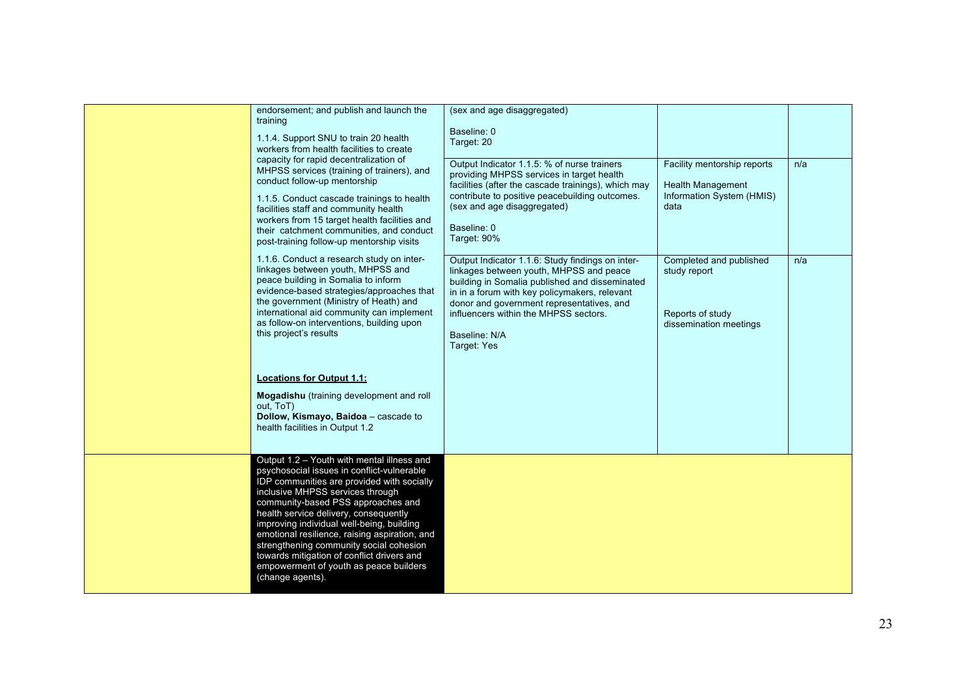| endorsement; and publish and launch the<br>training<br>1.1.4. Support SNU to train 20 health<br>workers from health facilities to create<br>capacity for rapid decentralization of<br>MHPSS services (training of trainers), and<br>conduct follow-up mentorship<br>1.1.5. Conduct cascade trainings to health<br>facilities staff and community health<br>workers from 15 target health facilities and<br>their catchment communities, and conduct<br>post-training follow-up mentorship visits               | (sex and age disaggregated)<br>Baseline: 0<br>Target: 20<br>Output Indicator 1.1.5: % of nurse trainers<br>providing MHPSS services in target health<br>facilities (after the cascade trainings), which may<br>contribute to positive peacebuilding outcomes.<br>(sex and age disaggregated)<br>Baseline: 0<br>Target: 90%  | Facility mentorship reports<br><b>Health Management</b><br>Information System (HMIS)<br>data | n/a |
|----------------------------------------------------------------------------------------------------------------------------------------------------------------------------------------------------------------------------------------------------------------------------------------------------------------------------------------------------------------------------------------------------------------------------------------------------------------------------------------------------------------|-----------------------------------------------------------------------------------------------------------------------------------------------------------------------------------------------------------------------------------------------------------------------------------------------------------------------------|----------------------------------------------------------------------------------------------|-----|
| 1.1.6. Conduct a research study on inter-<br>linkages between youth, MHPSS and<br>peace building in Somalia to inform<br>evidence-based strategies/approaches that<br>the government (Ministry of Heath) and<br>international aid community can implement<br>as follow-on interventions, building upon<br>this project's results<br><b>Locations for Output 1.1:</b><br>Mogadishu (training development and roll<br>out. ToT)<br>Dollow, Kismayo, Baidoa - cascade to<br>health facilities in Output 1.2       | Output Indicator 1.1.6: Study findings on inter-<br>linkages between youth, MHPSS and peace<br>building in Somalia published and disseminated<br>in in a forum with key policymakers, relevant<br>donor and government representatives, and<br>influencers within the MHPSS sectors.<br>Baseline: N/A<br><b>Target: Yes</b> | Completed and published<br>study report<br>Reports of study<br>dissemination meetings        | n/a |
| Output 1.2 - Youth with mental illness and<br>psychosocial issues in conflict-vulnerable<br>IDP communities are provided with socially<br>inclusive MHPSS services through<br>community-based PSS approaches and<br>health service delivery, consequently<br>improving individual well-being, building<br>emotional resilience, raising aspiration, and<br>strengthening community social cohesion<br>towards mitigation of conflict drivers and<br>empowerment of youth as peace builders<br>(change agents). |                                                                                                                                                                                                                                                                                                                             |                                                                                              |     |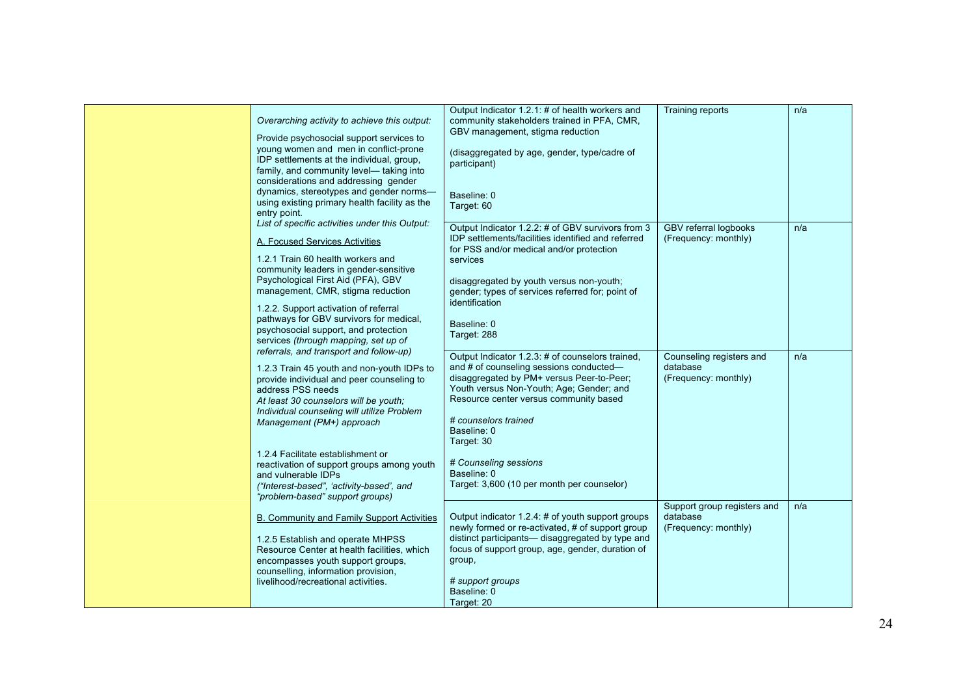| Overarching activity to achieve this output:<br>Provide psychosocial support services to<br>young women and men in conflict-prone<br>IDP settlements at the individual, group,<br>family, and community level- taking into<br>considerations and addressing gender<br>dynamics, stereotypes and gender norms-<br>using existing primary health facility as the<br>entry point.<br>List of specific activities under this Output: | Output Indicator 1.2.1: # of health workers and<br>community stakeholders trained in PFA, CMR,<br>GBV management, stigma reduction<br>(disaggregated by age, gender, type/cadre of<br>participant)<br>Baseline: 0<br>Target: 60                                                                                                                                           | <b>Training reports</b>                                         | n/a |
|----------------------------------------------------------------------------------------------------------------------------------------------------------------------------------------------------------------------------------------------------------------------------------------------------------------------------------------------------------------------------------------------------------------------------------|---------------------------------------------------------------------------------------------------------------------------------------------------------------------------------------------------------------------------------------------------------------------------------------------------------------------------------------------------------------------------|-----------------------------------------------------------------|-----|
| A. Focused Services Activities<br>1.2.1 Train 60 health workers and<br>community leaders in gender-sensitive<br>Psychological First Aid (PFA), GBV<br>management, CMR, stigma reduction<br>1.2.2. Support activation of referral<br>pathways for GBV survivors for medical,<br>psychosocial support, and protection<br>services (through mapping, set up of<br>referrals, and transport and follow-up)                           | Output Indicator 1.2.2: # of GBV survivors from 3<br>IDP settlements/facilities identified and referred<br>for PSS and/or medical and/or protection<br>services<br>disaggregated by youth versus non-youth;<br>gender; types of services referred for; point of<br>identification<br>Baseline: 0<br>Target: 288                                                           | <b>GBV</b> referral logbooks<br>(Frequency: monthly)            | n/a |
| 1.2.3 Train 45 youth and non-youth IDPs to<br>provide individual and peer counseling to<br>address PSS needs<br>At least 30 counselors will be youth;<br>Individual counseling will utilize Problem<br>Management (PM+) approach<br>1.2.4 Facilitate establishment or<br>reactivation of support groups among youth<br>and vulnerable IDPs<br>("Interest-based", 'activity-based', and<br>"problem-based" support groups)        | Output Indicator 1.2.3: # of counselors trained,<br>and # of counseling sessions conducted-<br>disaggregated by PM+ versus Peer-to-Peer;<br>Youth versus Non-Youth; Age; Gender; and<br>Resource center versus community based<br># counselors trained<br>Baseline: 0<br>Target: 30<br># Counseling sessions<br>Baseline: 0<br>Target: 3,600 (10 per month per counselor) | Counseling registers and<br>database<br>(Frequency: monthly)    | n/a |
| B. Community and Family Support Activities<br>1.2.5 Establish and operate MHPSS<br>Resource Center at health facilities, which<br>encompasses youth support groups,<br>counselling, information provision,<br>livelihood/recreational activities.                                                                                                                                                                                | Output indicator 1.2.4: # of youth support groups<br>newly formed or re-activated, # of support group<br>distinct participants— disaggregated by type and<br>focus of support group, age, gender, duration of<br>group,<br># support groups<br>Baseline: 0<br>Target: 20                                                                                                  | Support group registers and<br>database<br>(Frequency: monthly) | n/a |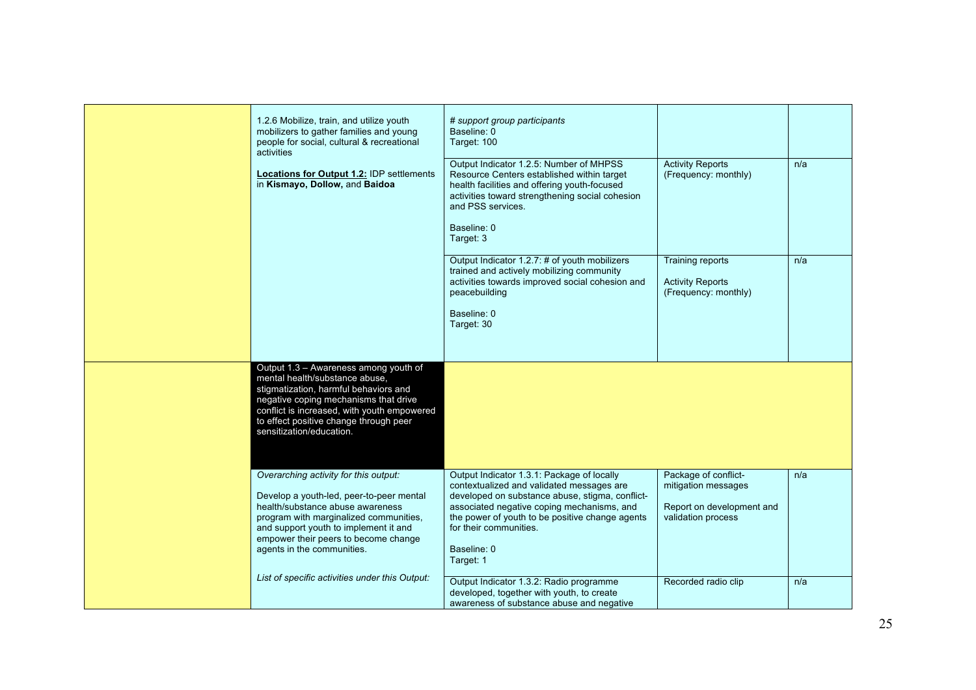| 1.2.6 Mobilize, train, and utilize youth<br>mobilizers to gather families and young<br>people for social, cultural & recreational<br>activities                                                                                                                                | # support group participants<br>Baseline: 0<br>Target: 100                                                                                                                                                                                                                                        |                                                                                                |     |
|--------------------------------------------------------------------------------------------------------------------------------------------------------------------------------------------------------------------------------------------------------------------------------|---------------------------------------------------------------------------------------------------------------------------------------------------------------------------------------------------------------------------------------------------------------------------------------------------|------------------------------------------------------------------------------------------------|-----|
| Locations for Output 1.2: IDP settlements<br>in Kismayo, Dollow, and Baidoa                                                                                                                                                                                                    | Output Indicator 1.2.5: Number of MHPSS<br>Resource Centers established within target<br>health facilities and offering youth-focused<br>activities toward strengthening social cohesion<br>and PSS services.<br>Baseline: 0<br>Target: 3                                                         | <b>Activity Reports</b><br>(Frequency: monthly)                                                | n/a |
|                                                                                                                                                                                                                                                                                | Output Indicator 1.2.7: # of youth mobilizers<br>trained and actively mobilizing community<br>activities towards improved social cohesion and<br>peacebuilding<br>Baseline: 0<br>Target: 30                                                                                                       | Training reports<br><b>Activity Reports</b><br>(Frequency: monthly)                            | n/a |
| Output 1.3 - Awareness among youth of<br>mental health/substance abuse,<br>stigmatization, harmful behaviors and<br>negative coping mechanisms that drive<br>conflict is increased, with youth empowered<br>to effect positive change through peer<br>sensitization/education. |                                                                                                                                                                                                                                                                                                   |                                                                                                |     |
| Overarching activity for this output:<br>Develop a youth-led, peer-to-peer mental<br>health/substance abuse awareness<br>program with marginalized communities,<br>and support youth to implement it and<br>empower their peers to become change<br>agents in the communities. | Output Indicator 1.3.1: Package of locally<br>contextualized and validated messages are<br>developed on substance abuse, stigma, conflict-<br>associated negative coping mechanisms, and<br>the power of youth to be positive change agents<br>for their communities.<br>Baseline: 0<br>Target: 1 | Package of conflict-<br>mitigation messages<br>Report on development and<br>validation process | n/a |
| List of specific activities under this Output:                                                                                                                                                                                                                                 | Output Indicator 1.3.2: Radio programme<br>developed, together with youth, to create<br>awareness of substance abuse and negative                                                                                                                                                                 | Recorded radio clip                                                                            | n/a |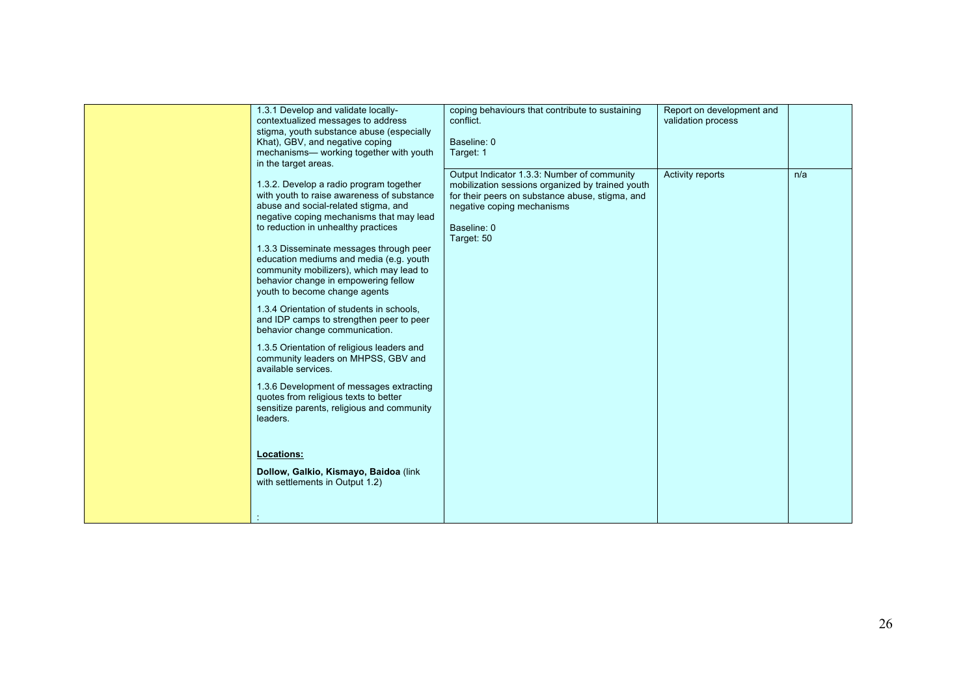| 1.3.1 Develop and validate locally-<br>contextualized messages to address<br>stigma, youth substance abuse (especially<br>Khat), GBV, and negative coping<br>mechanisms- working together with youth<br>in the target areas.<br>1.3.2. Develop a radio program together<br>with youth to raise awareness of substance<br>abuse and social-related stigma, and | coping behaviours that contribute to sustaining<br>conflict.<br>Baseline: 0<br>Target: 1<br>Output Indicator 1.3.3: Number of community<br>mobilization sessions organized by trained youth<br>for their peers on substance abuse, stigma, and<br>negative coping mechanisms | Report on development and<br>validation process<br>Activity reports | n/a |
|---------------------------------------------------------------------------------------------------------------------------------------------------------------------------------------------------------------------------------------------------------------------------------------------------------------------------------------------------------------|------------------------------------------------------------------------------------------------------------------------------------------------------------------------------------------------------------------------------------------------------------------------------|---------------------------------------------------------------------|-----|
| negative coping mechanisms that may lead<br>to reduction in unhealthy practices<br>1.3.3 Disseminate messages through peer<br>education mediums and media (e.g. youth<br>community mobilizers), which may lead to<br>behavior change in empowering fellow<br>youth to become change agents<br>1.3.4 Orientation of students in schools,                       | Baseline: 0<br>Target: 50                                                                                                                                                                                                                                                    |                                                                     |     |
| and IDP camps to strengthen peer to peer<br>behavior change communication.<br>1.3.5 Orientation of religious leaders and<br>community leaders on MHPSS, GBV and<br>available services.<br>1.3.6 Development of messages extracting<br>quotes from religious texts to better<br>sensitize parents, religious and community<br>leaders.                         |                                                                                                                                                                                                                                                                              |                                                                     |     |
| <b>Locations:</b><br>Dollow, Galkio, Kismayo, Baidoa (link<br>with settlements in Output 1.2)                                                                                                                                                                                                                                                                 |                                                                                                                                                                                                                                                                              |                                                                     |     |